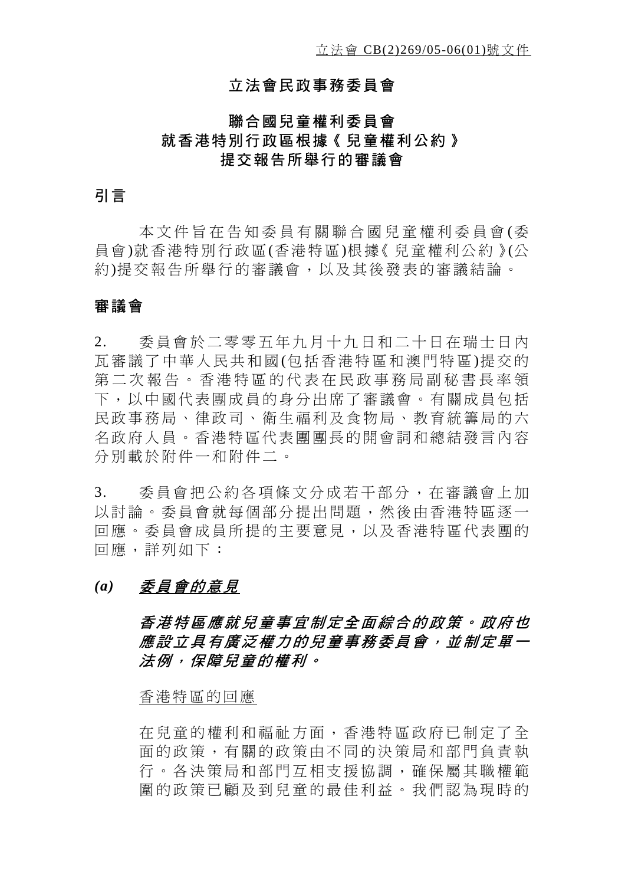### 立法會民政事務委員會

## 聯合國兒童權利委員會 就香港特別行政區根據《兒童權利公約》 提交報告所舉行的審議會

## 引言

本文件旨在告知委員有 關聯合國兒童權利委員會 (委 員會)就香港特別行政區(香港特區)根據《兒童權利公約》(公 約)提交報告所舉行的審議會,以及其後發表的審議結論。

#### 審議會

2. 委員會於二零零五年九月十九日和二十日在瑞士日內 瓦審議了中華人民共和國(包括香港特區和澳門特區)提交的 第二次報告。香港特區的代表在民政事務局副秘書長率領 下,以中國代表團成員的身分出席了審議會。有關成員包括 民政事務局、律政司、衛生福利及食物局、教育統籌局的六 名政府人員。香港特區代表團團長的開會詞和總結發言內容 分別載於附件一和附件二。

3. 委員會把公約各項條文分成若干部分,在審議會上加 以討論。委員會就每個部分提出問題,然後由香港特區逐一 回應。委員會成員所提的主要意見,以及香港特區代表團的 回應,詳列如下:

#### *(a)* 委員會的意見

## 香港特區應就兒童事宜制定全面綜合的政策。政府也 應設立具有廣泛權力的兒童事務委員會,並制定單一 法例,保障兒童的權利。

#### 香港特區的回應

在兒童的權利和福祉方面,香港特區政府已制定了全 面的政策,有關的政策由不同的決策局和部門負責執 行。各決策局和部門互相支援協調,確保屬其職權範 圍的政策已顧及到兒童的最佳利益。我們認為現時的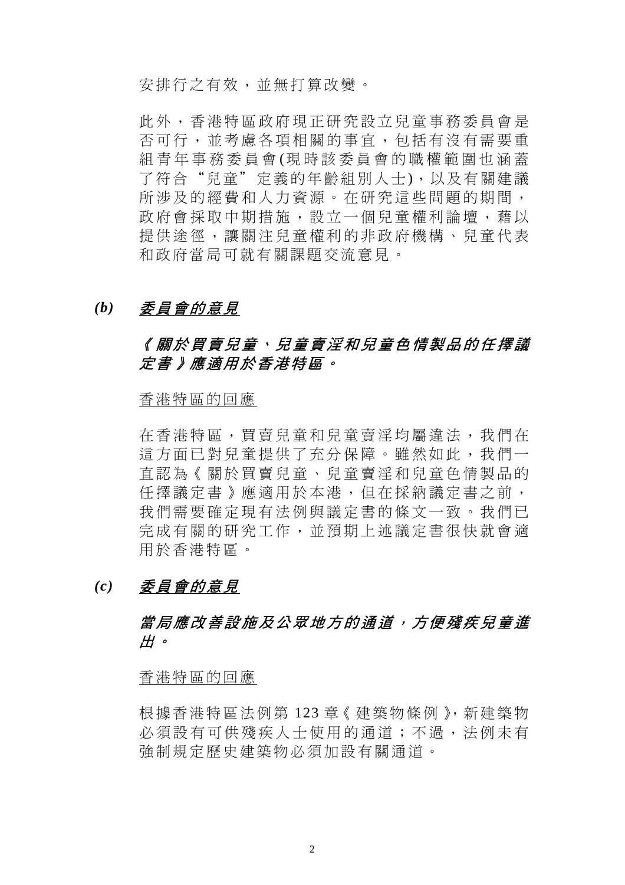安排行之有效,並無打算改變。

此外,香港特區政府現正研究設立兒童事務委員會是 否可行,並考慮各項相關的事宜,包括有沒有需要重 組青年事務委員會 (現時該委員會的職權範圍也涵蓋 了符合"兒童"定義的年齡組別人士),以及有關建議 所涉及的經費和人力資源。在研究這些問題的期間, 政府會採取中期措施,設立一個兒童權利論壇,藉以 提供途徑,讓關注兒童權利的非政府機構、兒童代表 和政府當局可就有關課題交流意見。

### *(b)* 委員會的意見

## 《關於買賣兒童、兒童賣淫和兒童色情製品的任擇議 定書》應適用於香港特區。

香港特區的回應

在香港特區,買賣兒童和兒童賣淫均屬違法,我們在 這方面已對兒童提供了充分保障。雖然如此,我們一 直認為《關於買賣兒童、兒童賣淫和兒童色情製品的 任擇議定書》應適用於本港,但在採納議定書之前, 我們需要確定現有法例與議定書的條文一致。我們已 完成有關的研究工作,並預期上述議定書很快就會適 用於香港特區。

#### *(c)* 委員會的意見

## 當局應改善設施及公眾地方的通道, 方便殘疾兒童進 出。

#### 香港特區的回應

根據香港特區法例第 123 章《建築物條例》,新建築物 必須設有可供殘疾人士使用的通道;不過,法例未有 強制規定歷史建築物必須加設有關通道。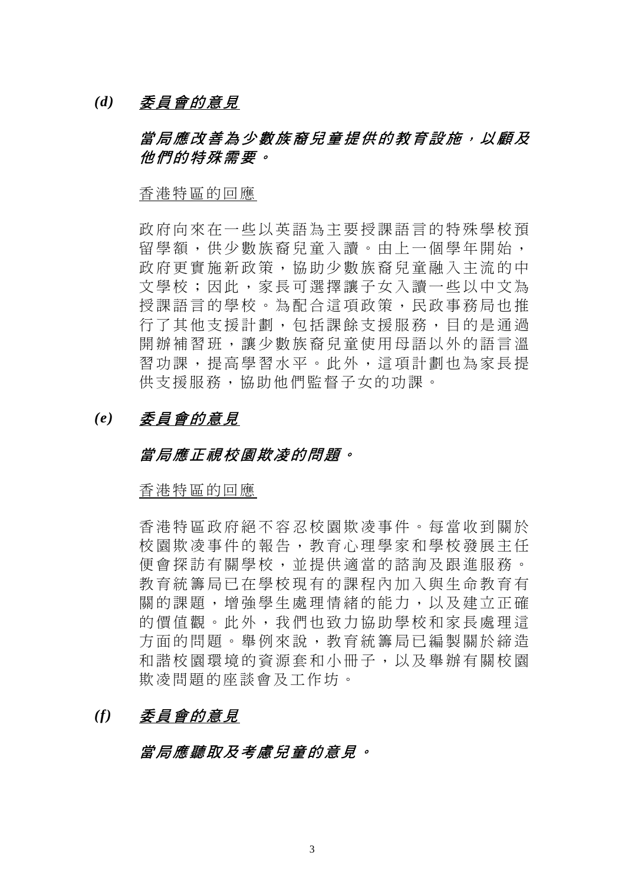*(d)* 委員會的意見

## 當局應改善為少數族裔兒童提供的教育設施,以顧及 他們的特殊需要。

香港特區的回應

政府向來在一些以英語為主要授課語言的特殊學校預 留學額,供少數族裔兒童入讀。由上一個學年開始, 政府更實施新政策,協助少數族裔兒童融入主流的中 文學校;因此,家長可選擇讓子女入讀一些以中文為 授課語言的學校。為配合這項政策,民政事務局也推 行了其他支援計劃,包括課餘支援服務,目的是通過 開辦補習班,讓少數族裔兒童使用母語以外的語言溫 習功課,提高學習水平。此外,這項計劃也為家長提 供支援服務,協助他們監督子女的功課。

## *(e)* 委員會的意見

#### 當局應正視校園欺凌的問題。

香港特區的回應

香港特區政府絕不容忍校園欺凌事件。每當收到關於 校園欺凌事件的報告,教育心理學家和學校發展主任 便會探訪有關學校,並提供適當的諮詢及跟進服務。 教育統籌局已在學校現有的課程內加入與生命教育有 關的課題,增強學生處理情緒的能力,以及建立正確 的價值觀。此外,我們也致力協助學校和家長處理這 方面的問題。舉例來說,教育統籌局已編製關於締造 和諧校園環境的資源套和小冊子,以及舉辦有關校園 欺凌問題的座談會及工作坊。

## *(f)* 委員會的意見

### 當局應聽取及考慮兒童的意見。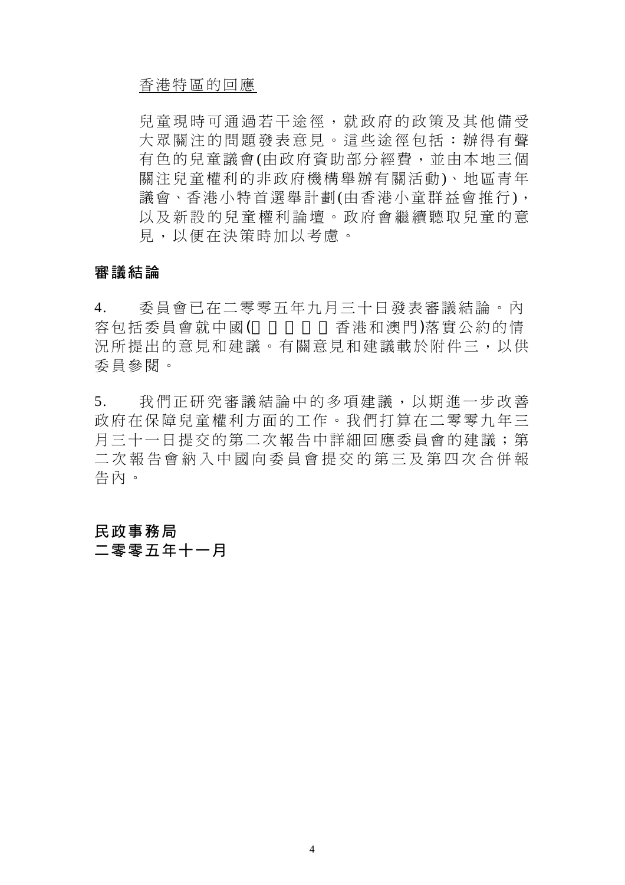#### 香港特區的回應

兒童現時可通過若干途徑,就政府的政策及其他備受 大眾關注的問題發表意見。這些途徑包括:辦得有聲 有色的兒童議會(由政府資助部分經費,並由本地三個 關注兒童權利的非政府機構舉辦有關活動)、地區青年 議會、香港小特首選舉計劃(由香港小童群益會推行), 以及新設的兒童權利論壇。政府會繼續聽取兒童的意 見,以便在決策時加以考慮。

#### 審議結論

4. 委員會已在二零零五年九月三十日發表審議結論。內 容包括委員會就中國(包括內地、香港和澳門)落實公約的情 況所提出的意見和建意見和建議載於附件三,以供 委員參閱。

5. 我們正研究審議結論中的多項建議,以期進一步改善 政府在保障兒童權利方面的工作。我們打算在二零零九年三 月三十一日提交的第二次報告中詳細回應委員會的建議;第 二次報告會納入中國向委員會提交的第三及第四次合併報 告內。

## 民政事務局 二零零五年十一月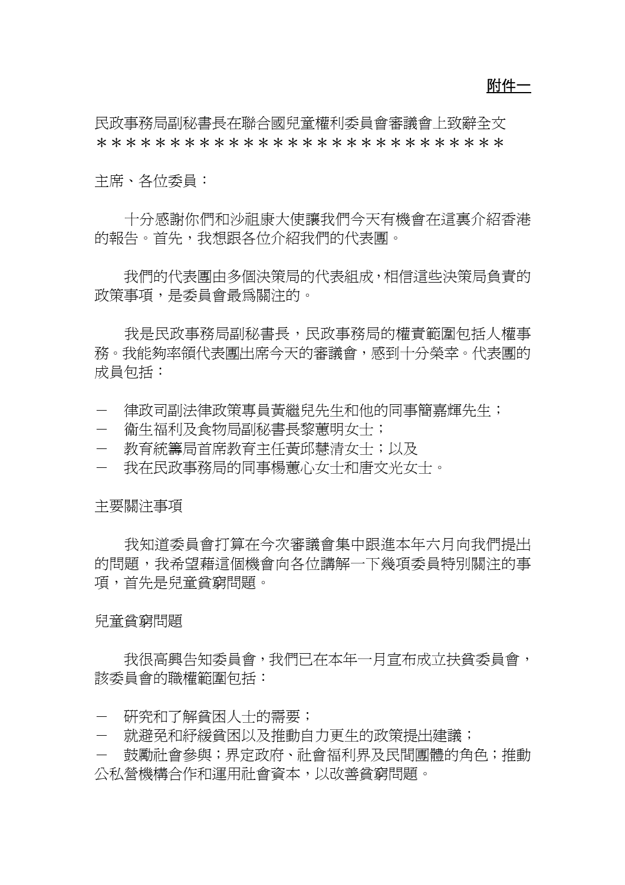附件一

民政事務局副秘書長在聯合國兒童權利委員會審議會上致辭全文 \*\*\*\*\*\*\*\*\*\*\*\*\*\*\*\*\*\*\*\*\*\*\*\*\*\*\*\*

主席、各位委員︰

 十分感謝你們和沙祖康大使讓我們今天有機會在這裏介紹香港 的報告。首先,我想跟各位介紹我們的代表團。

 我們的代表團由多個決策局的代表組成,相信這些決策局負責的 政策事項,是委員會最為關注的。

我是民政事務局副秘書長,民政事務局的權責範圍包括人權事 務。我能夠率領代表團出席今天的審議會,感到十分榮幸。代表團的 成員句括:

- 律政司副法律政策專員黃繼兒先生和他的同事簡嘉輝先生;
- 衛生福利及食物局副秘書長黎蕙明女十;
- 教育統籌局首席教育主任黃邱慧清女士;以及
- 我在民政事務局的同事楊蕙心女士和唐文光女士。

主要關注事項

 我知道委員會打算在今次審議會集中跟進本年六月向我們提出 的問題,我希望藉這個機會向各位講解一下幾項委員特別關注的事 項,首先是兒童貧窮問題。

#### 兒童貧窮問題

我很高興告知委員會,我們已在本年一月宣布成立扶貧委員會, 該委員會的職權範圍包括︰

- 研究和了解貧困人士的需要;
- 就避免和紓緩貧困以及推動自力更生的政策提出建議;
- 鼓勵社會參與;界定政府、社會福利界及民間團體的角色;推動 公私營機構合作和運用社會資本,以改善貧窮問題。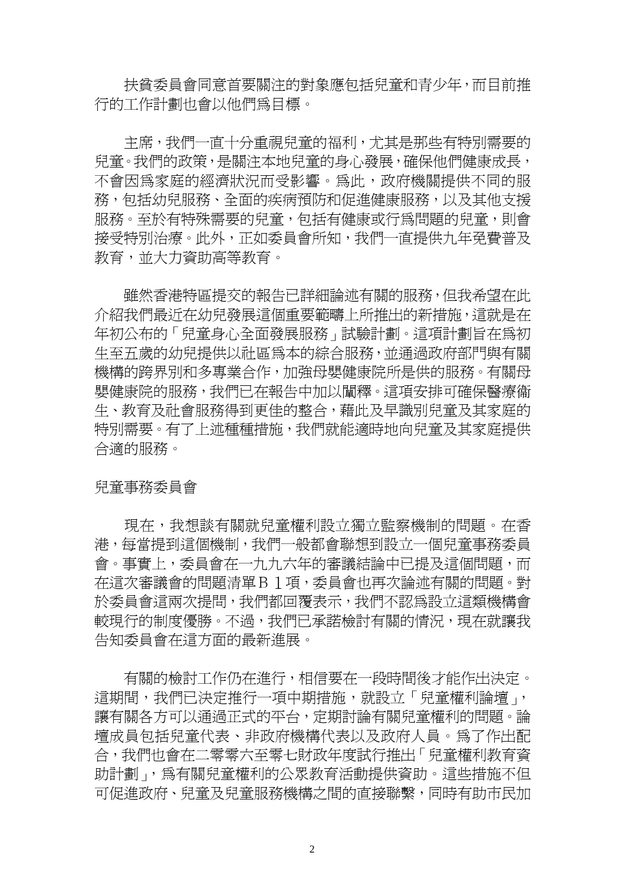扶貧委員會同意首要關注的對象應包括兒童和青少年,而目前推 行的工作計劃也會以他們為目標。

 主席,我們一直十分重視兒童的福利,尤其是那些有特別需要的 兒童。我們的政策,是關注本地兒童的身心發展,確保他們健康成長, 不會因為家庭的經濟狀況而受影響。為此,政府機關提供不同的服 務,包括幼兒服務、全面的疾病預防和促進健康服務,以及其他支援 服務。至於有特殊需要的兒童,包括有健康或行為問題的兒童,則會 接受特別治療。此外,正如委員會所知,我們一直提供九年免費普及 教育,並大力資助高等教育。

 雖然香港特區提交的報告已詳細論述有關的服務,但我希望在此 介紹我們最近在幼兒發展這個重要範疇上所推出的新措施,這就是在 年初公布的「兒童身心全面發展服務」試驗計劃。這項計劃旨在為初 生至五歲的幼兒提供以社區為本的綜合服務,並通過政府部門與有關 機構的跨界別和多專業合作,加強母嬰健康院所是供的服務。有關母 嬰健康院的服務,我們已在報告中加以闡釋。這項安排可確保醫療 生、教育及社會服務得到更佳的整合,藉此及早識別兒童及其家庭的 特別需要。有了上述種種措施,我們就能適時地向兒童及其家庭提供 合適的服務。

#### 兒童事務委員會

現在,我想談有關就兒童權利設立獨立監察機制的問題。在香 港,每當提到這個機制,我們一般都會聯想到設立一個兒童事務委員 會。事實上,委員會在一九九六年的審議結論中已提及這個問題,而 在這次審議會的問題清單B1項,委員會也再次論述有關的問題。對 於委員會這兩次提問,我們都回覆表示,我們不認為設立這類機構會 較現行的制度優勝。不過,我們已承諾檢討有關的情況,現在就讓我 告知委員會在這方面的最新進展。

 有關的檢討工作仍在進行,相信要在一段時間後才能作出決定。 這期間,我們已決定推行一項中期措施,就設立「兒童權利論壇」, 讓有關各方可以通過正式的平台,定期討論有關兒童權利的問題。論 壇成員包括兒童代表、非政府機構代表以及政府人員。為了作出配 合,我們也會在二零零六至零七財政年度試行推出「兒童權利教育資 助計劃」,為有關兒童權利的公眾教育活動提供資助。這些措施不但 可促進政府、兒童及兒童服務機構之間的直接聯繫,同時有助市民加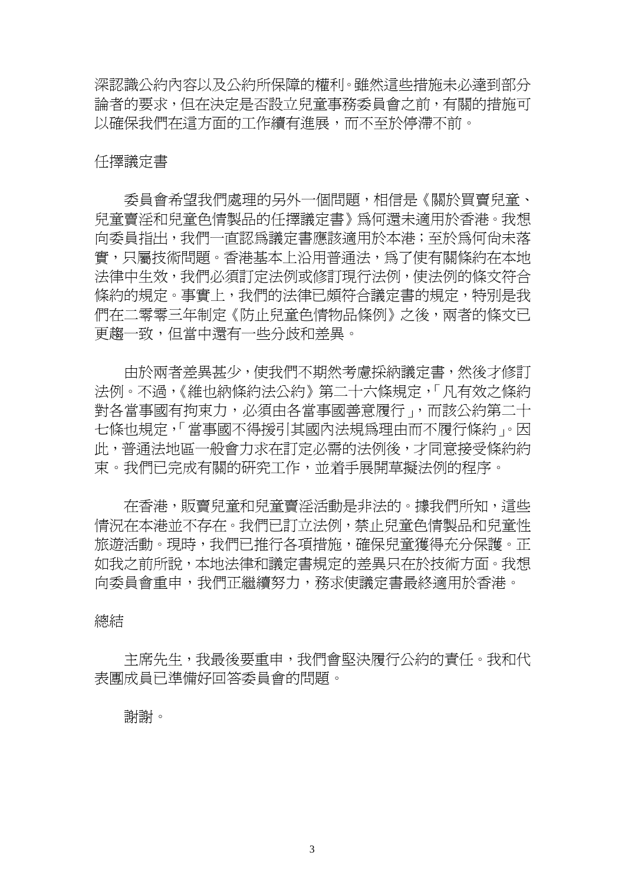深認識公約內容以及公約所保障的權利。雖然這些措施未必達到部分 論者的要求,但在決定是否設立兒童事務委員會之前,有關的措施可 以確保我們在這方面的工作續有進展,而不至於停滯不前。

#### 任擇議定書

 委員會希望我們處理的另外一個問題,相信是《關於買賣兒童、 兒童賣淫和兒童色情製品的任擇議定書》為何還未適用於香港。我想 向委員指出,我們一直認為議定書應該適用於本港;至於為何尚未落 實,只屬技術問題。香港基本上沿用普通法,為了使有關條約在本地 法律中生效,我們必須訂定法例或修訂現行法例,使法例的條文符合 條約的規定。事實上,我們的法律已頗符合議定書的規定,特別是我 們在二零零三年制定《防止兒童色情物品條例》之後,兩者的條文已 更趨一致,但當中還有一些分歧和差異。

 由於兩者差異甚少,使我們不期然考慮採納議定書,然後才修訂 法例。不渦,《維也納條約法公約》第二十六條規定,「凡有效之條約 對各當事國有拘束力,必須由各當事國善意履行」,而該公約第二十 七條也規定,「當事國不得援引其國內法規為理由而不履行條約」。因 此,普通法地區一般會力求在訂定必需的法例後,才同意接受條約約 束。我們已完成有關的研究工作,並手展開草擬法例的程序。

 在香港,販賣兒童和兒童賣淫活動是非法的。據我們所知,這些 情況在本港並不存在。我們已訂立法例,禁止兒童色情製品和兒童性 旅遊活動。現時,我們已推行各項措施,確保兒童獲得充分保護。正 如我之前所說,本地法律和議定書規定的差異只在於技術方面。我想 向委員會重申,我們正繼續努力,務求使議定書最終適用於香港。

#### 總結

 主席先生,我最後要重申,我們會堅決履行公約的責任。我和代 表團成員已準備好回答委員會的問題。

#### 謝謝。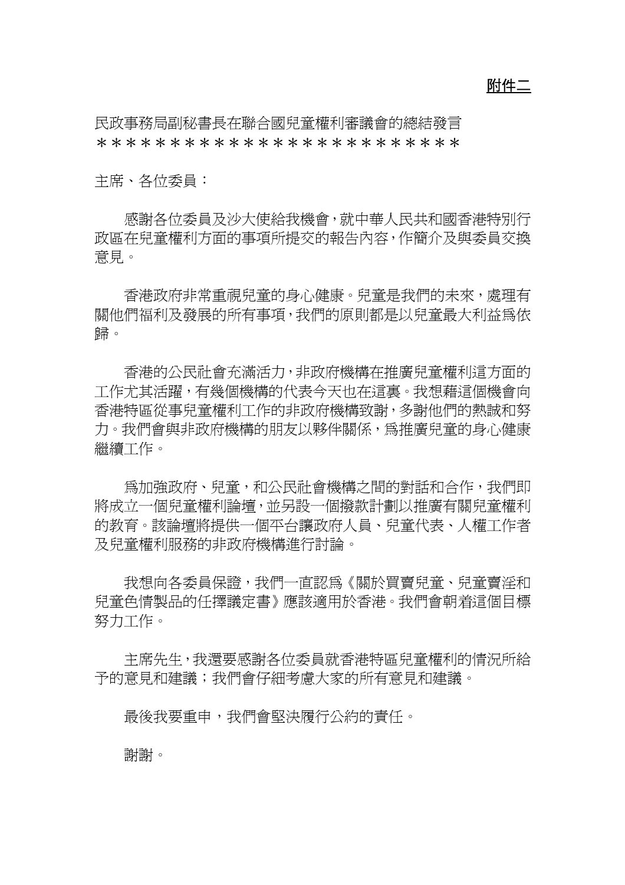附件二

民政事務局副秘書長在聯合國兒童權利審議會的總結發言 \*\*\*\*\*\*\*\*\*\*\*\*\*\*\*\*\*\*\*\*\*\*\*\*\*

主席、各位委員︰

 感謝各位委員及沙大使給我機會,就中華人民共和國香港特別行 政區在兒童權利方面的事項所提交的報告內容,作簡介及與委員交換 意見。

 香港政府非常重視兒童的身心健康。兒童是我們的未來,處理有 關他們福利及發展的所有事項,我們的原則都是以兒童最大利益為依 歸。

 香港的公民社會充滿活力,非政府機構在推廣兒童權利這方面的 工作尤其活躍,有幾個機構的代表今天也在這裏。我想藉這個機會向 香港特區從事兒童權利工作的非政府機構致謝,多謝他們的熱誠和努 力。我們會與非政府機構的朋友以夥伴關係,為推廣兒童的身心健康 繼續工作。

 為加強政府、兒童,和公民社會機構之間的對話和合作,我們即 將成立一個兒童權利論壇,並另設一個撥款計劃以推廣有關兒童權利 的教育。該論壇將提供一個平台讓政府人員、兒童代表、人權工作者 及兒童權利服務的非政府機構進行討論。

我想向各委員保證,我們一直認爲《關於買賣兒童、兒童賣淫和 兒童色情製品的任擇議定書》應該適用於香港。我們會朝這個目標 努力工作。

 主席先生,我還要感謝各位委員就香港特區兒童權利的情況所給 予的意見和建議;我們會仔細考慮大家的所有意見和建議。

最後我要重申,我們會堅決履行公約的責任。

謝謝。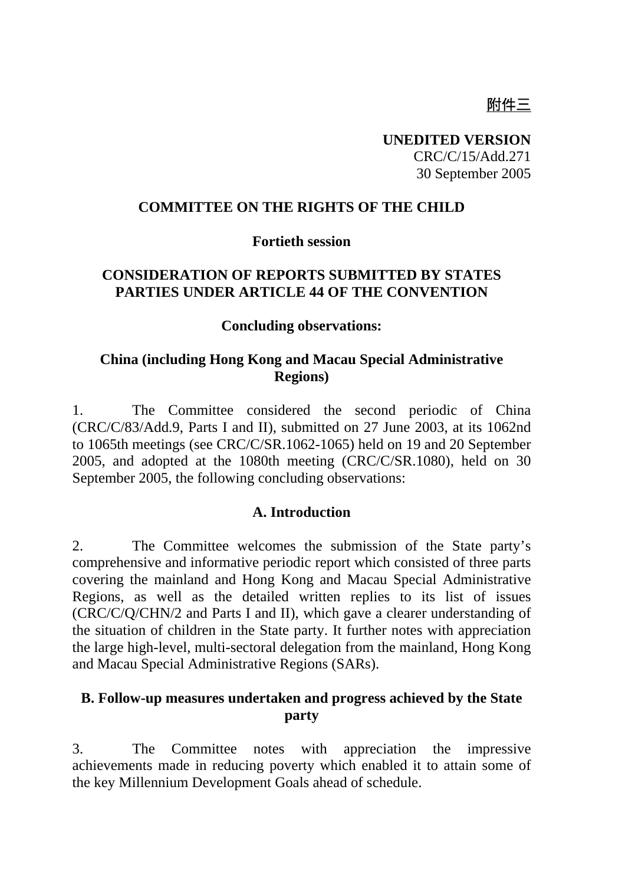# 附件三

**UNEDITED VERSION**  CRC/C/15/Add.271 30 September 2005

#### **COMMITTEE ON THE RIGHTS OF THE CHILD**

#### **Fortieth session**

### **CONSIDERATION OF REPORTS SUBMITTED BY STATES PARTIES UNDER ARTICLE 44 OF THE CONVENTION**

#### **Concluding observations:**

#### **China (including Hong Kong and Macau Special Administrative Regions)**

1. The Committee considered the second periodic of China (CRC/C/83/Add.9, Parts I and II), submitted on 27 June 2003, at its 1062nd to 1065th meetings (see CRC/C/SR.1062-1065) held on 19 and 20 September 2005, and adopted at the 1080th meeting (CRC/C/SR.1080), held on 30 September 2005, the following concluding observations:

#### **A. Introduction**

2. The Committee welcomes the submission of the State party's comprehensive and informative periodic report which consisted of three parts covering the mainland and Hong Kong and Macau Special Administrative Regions, as well as the detailed written replies to its list of issues (CRC/C/Q/CHN/2 and Parts I and II), which gave a clearer understanding of the situation of children in the State party. It further notes with appreciation the large high-level, multi-sectoral delegation from the mainland, Hong Kong and Macau Special Administrative Regions (SARs).

#### **B. Follow-up measures undertaken and progress achieved by the State party**

3. The Committee notes with appreciation the impressive achievements made in reducing poverty which enabled it to attain some of the key Millennium Development Goals ahead of schedule.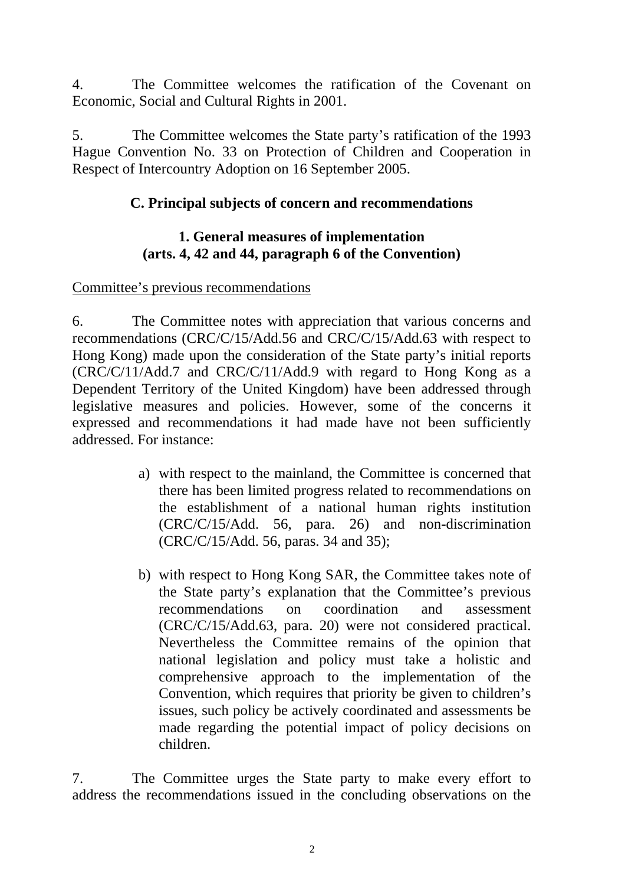4. The Committee welcomes the ratification of the Covenant on Economic, Social and Cultural Rights in 2001.

5. The Committee welcomes the State party's ratification of the 1993 Hague Convention No. 33 on Protection of Children and Cooperation in Respect of Intercountry Adoption on 16 September 2005.

## **C. Principal subjects of concern and recommendations**

### **1. General measures of implementation (arts. 4, 42 and 44, paragraph 6 of the Convention)**

## Committee's previous recommendations

6. The Committee notes with appreciation that various concerns and recommendations (CRC/C/15/Add.56 and CRC/C/15/Add.63 with respect to Hong Kong) made upon the consideration of the State party's initial reports (CRC/C/11/Add.7 and CRC/C/11/Add.9 with regard to Hong Kong as a Dependent Territory of the United Kingdom) have been addressed through legislative measures and policies. However, some of the concerns it expressed and recommendations it had made have not been sufficiently addressed. For instance:

- a) with respect to the mainland, the Committee is concerned that there has been limited progress related to recommendations on the establishment of a national human rights institution (CRC/C/15/Add. 56, para. 26) and non-discrimination (CRC/C/15/Add. 56, paras. 34 and 35);
- b) with respect to Hong Kong SAR, the Committee takes note of the State party's explanation that the Committee's previous recommendations on coordination and assessment (CRC/C/15/Add.63, para. 20) were not considered practical. Nevertheless the Committee remains of the opinion that national legislation and policy must take a holistic and comprehensive approach to the implementation of the Convention, which requires that priority be given to children's issues, such policy be actively coordinated and assessments be made regarding the potential impact of policy decisions on children.

7. The Committee urges the State party to make every effort to address the recommendations issued in the concluding observations on the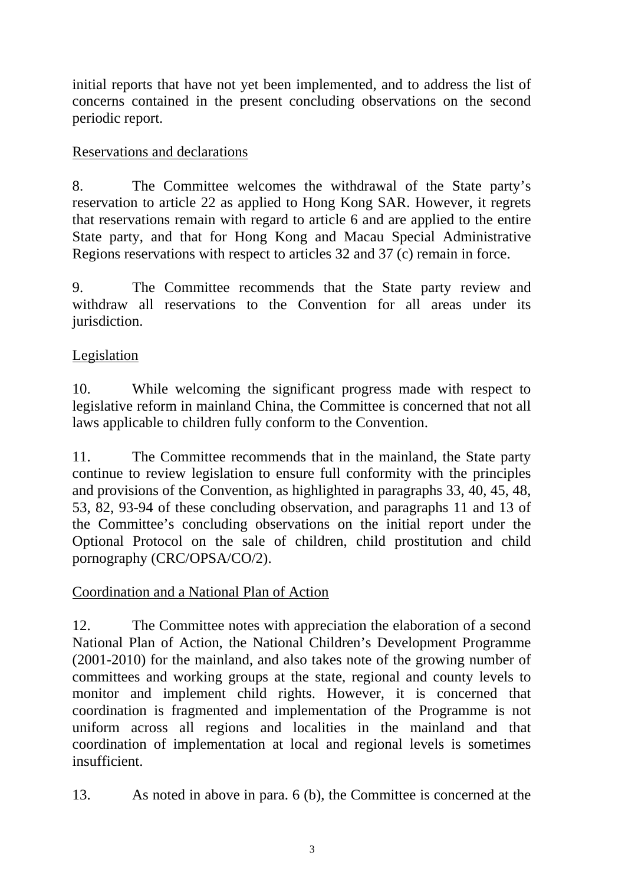initial reports that have not yet been implemented, and to address the list of concerns contained in the present concluding observations on the second periodic report.

## Reservations and declarations

8. The Committee welcomes the withdrawal of the State party's reservation to article 22 as applied to Hong Kong SAR. However, it regrets that reservations remain with regard to article 6 and are applied to the entire State party, and that for Hong Kong and Macau Special Administrative Regions reservations with respect to articles 32 and 37 (c) remain in force.

9. The Committee recommends that the State party review and withdraw all reservations to the Convention for all areas under its jurisdiction.

## Legislation

10. While welcoming the significant progress made with respect to legislative reform in mainland China, the Committee is concerned that not all laws applicable to children fully conform to the Convention.

11. The Committee recommends that in the mainland, the State party continue to review legislation to ensure full conformity with the principles and provisions of the Convention, as highlighted in paragraphs 33, 40, 45, 48, 53, 82, 93-94 of these concluding observation, and paragraphs 11 and 13 of the Committee's concluding observations on the initial report under the Optional Protocol on the sale of children, child prostitution and child pornography (CRC/OPSA/CO/2).

### Coordination and a National Plan of Action

12. The Committee notes with appreciation the elaboration of a second National Plan of Action, the National Children's Development Programme (2001-2010) for the mainland, and also takes note of the growing number of committees and working groups at the state, regional and county levels to monitor and implement child rights. However, it is concerned that coordination is fragmented and implementation of the Programme is not uniform across all regions and localities in the mainland and that coordination of implementation at local and regional levels is sometimes insufficient.

13. As noted in above in para. 6 (b), the Committee is concerned at the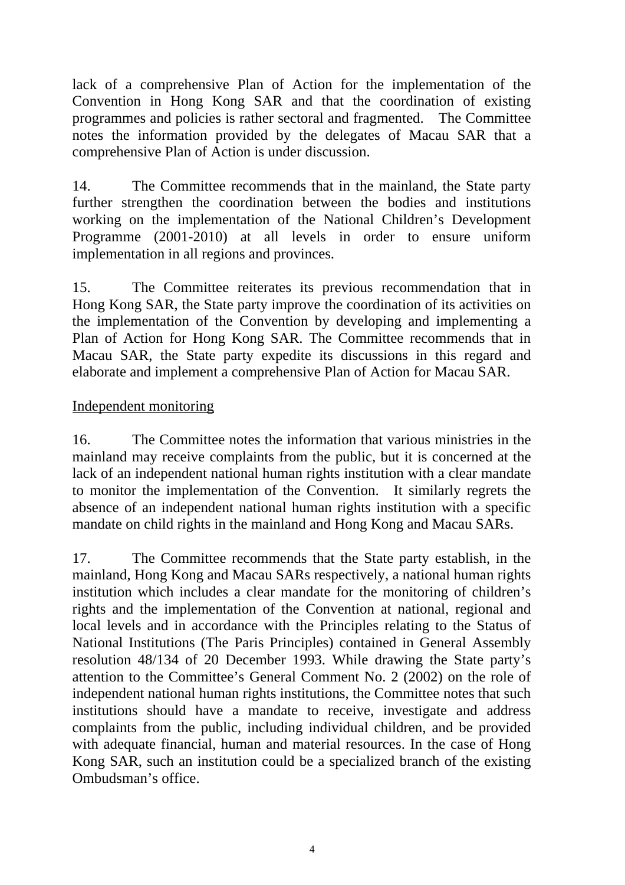lack of a comprehensive Plan of Action for the implementation of the Convention in Hong Kong SAR and that the coordination of existing programmes and policies is rather sectoral and fragmented. The Committee notes the information provided by the delegates of Macau SAR that a comprehensive Plan of Action is under discussion.

14. The Committee recommends that in the mainland, the State party further strengthen the coordination between the bodies and institutions working on the implementation of the National Children's Development Programme (2001-2010) at all levels in order to ensure uniform implementation in all regions and provinces.

15. The Committee reiterates its previous recommendation that in Hong Kong SAR, the State party improve the coordination of its activities on the implementation of the Convention by developing and implementing a Plan of Action for Hong Kong SAR. The Committee recommends that in Macau SAR, the State party expedite its discussions in this regard and elaborate and implement a comprehensive Plan of Action for Macau SAR.

### Independent monitoring

16. The Committee notes the information that various ministries in the mainland may receive complaints from the public, but it is concerned at the lack of an independent national human rights institution with a clear mandate to monitor the implementation of the Convention. It similarly regrets the absence of an independent national human rights institution with a specific mandate on child rights in the mainland and Hong Kong and Macau SARs.

17. The Committee recommends that the State party establish, in the mainland, Hong Kong and Macau SARs respectively, a national human rights institution which includes a clear mandate for the monitoring of children's rights and the implementation of the Convention at national, regional and local levels and in accordance with the Principles relating to the Status of National Institutions (The Paris Principles) contained in General Assembly resolution 48/134 of 20 December 1993. While drawing the State party's attention to the Committee's General Comment No. 2 (2002) on the role of independent national human rights institutions, the Committee notes that such institutions should have a mandate to receive, investigate and address complaints from the public, including individual children, and be provided with adequate financial, human and material resources. In the case of Hong Kong SAR, such an institution could be a specialized branch of the existing Ombudsman's office.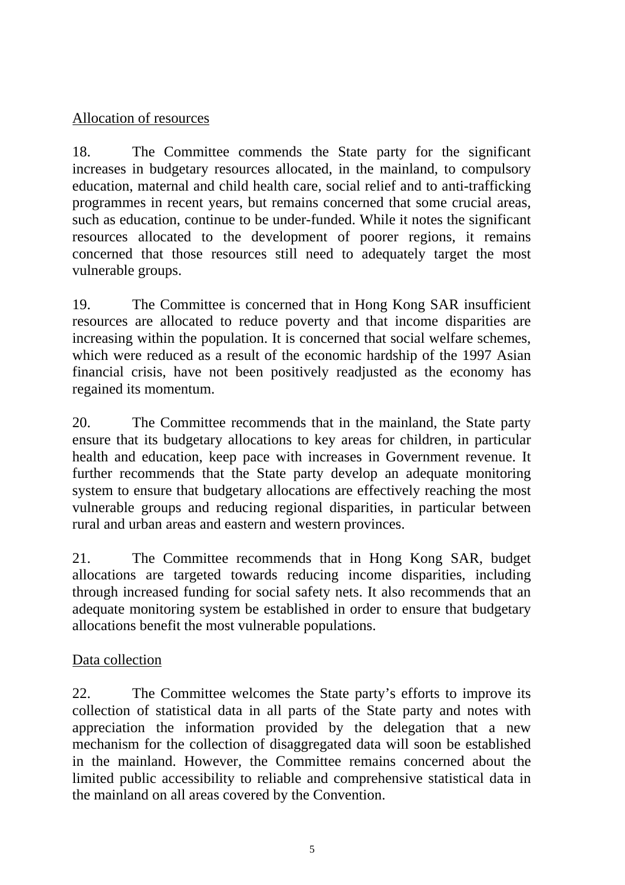## Allocation of resources

18. The Committee commends the State party for the significant increases in budgetary resources allocated, in the mainland, to compulsory education, maternal and child health care, social relief and to anti-trafficking programmes in recent years, but remains concerned that some crucial areas, such as education, continue to be under-funded. While it notes the significant resources allocated to the development of poorer regions, it remains concerned that those resources still need to adequately target the most vulnerable groups.

19. The Committee is concerned that in Hong Kong SAR insufficient resources are allocated to reduce poverty and that income disparities are increasing within the population. It is concerned that social welfare schemes, which were reduced as a result of the economic hardship of the 1997 Asian financial crisis, have not been positively readjusted as the economy has regained its momentum.

20. The Committee recommends that in the mainland, the State party ensure that its budgetary allocations to key areas for children, in particular health and education, keep pace with increases in Government revenue. It further recommends that the State party develop an adequate monitoring system to ensure that budgetary allocations are effectively reaching the most vulnerable groups and reducing regional disparities, in particular between rural and urban areas and eastern and western provinces.

21. The Committee recommends that in Hong Kong SAR, budget allocations are targeted towards reducing income disparities, including through increased funding for social safety nets. It also recommends that an adequate monitoring system be established in order to ensure that budgetary allocations benefit the most vulnerable populations.

## Data collection

22. The Committee welcomes the State party's efforts to improve its collection of statistical data in all parts of the State party and notes with appreciation the information provided by the delegation that a new mechanism for the collection of disaggregated data will soon be established in the mainland. However, the Committee remains concerned about the limited public accessibility to reliable and comprehensive statistical data in the mainland on all areas covered by the Convention.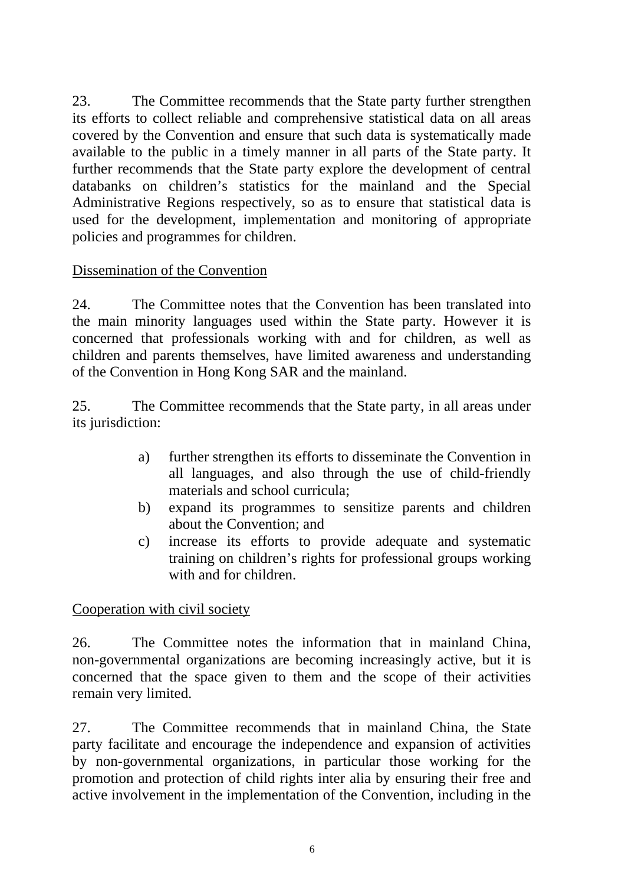23. The Committee recommends that the State party further strengthen its efforts to collect reliable and comprehensive statistical data on all areas covered by the Convention and ensure that such data is systematically made available to the public in a timely manner in all parts of the State party. It further recommends that the State party explore the development of central databanks on children's statistics for the mainland and the Special Administrative Regions respectively, so as to ensure that statistical data is used for the development, implementation and monitoring of appropriate policies and programmes for children.

### Dissemination of the Convention

24. The Committee notes that the Convention has been translated into the main minority languages used within the State party. However it is concerned that professionals working with and for children, as well as children and parents themselves, have limited awareness and understanding of the Convention in Hong Kong SAR and the mainland.

25. The Committee recommends that the State party, in all areas under its jurisdiction:

- a) further strengthen its efforts to disseminate the Convention in all languages, and also through the use of child-friendly materials and school curricula;
- b) expand its programmes to sensitize parents and children about the Convention; and
- c) increase its efforts to provide adequate and systematic training on children's rights for professional groups working with and for children.

Cooperation with civil society

26. The Committee notes the information that in mainland China, non-governmental organizations are becoming increasingly active, but it is concerned that the space given to them and the scope of their activities remain very limited.

27. The Committee recommends that in mainland China, the State party facilitate and encourage the independence and expansion of activities by non-governmental organizations, in particular those working for the promotion and protection of child rights inter alia by ensuring their free and active involvement in the implementation of the Convention, including in the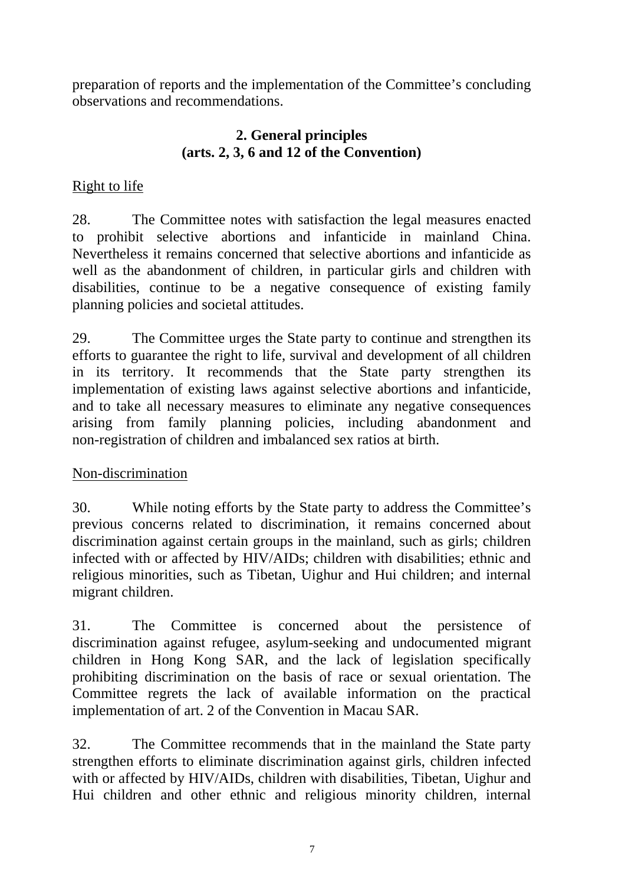preparation of reports and the implementation of the Committee's concluding observations and recommendations.

## **2. General principles (arts. 2, 3, 6 and 12 of the Convention)**

## Right to life

28. The Committee notes with satisfaction the legal measures enacted to prohibit selective abortions and infanticide in mainland China. Nevertheless it remains concerned that selective abortions and infanticide as well as the abandonment of children, in particular girls and children with disabilities, continue to be a negative consequence of existing family planning policies and societal attitudes.

29. The Committee urges the State party to continue and strengthen its efforts to guarantee the right to life, survival and development of all children in its territory. It recommends that the State party strengthen its implementation of existing laws against selective abortions and infanticide, and to take all necessary measures to eliminate any negative consequences arising from family planning policies, including abandonment and non-registration of children and imbalanced sex ratios at birth.

### Non-discrimination

30. While noting efforts by the State party to address the Committee's previous concerns related to discrimination, it remains concerned about discrimination against certain groups in the mainland, such as girls; children infected with or affected by HIV/AIDs; children with disabilities; ethnic and religious minorities, such as Tibetan, Uighur and Hui children; and internal migrant children.

31. The Committee is concerned about the persistence of discrimination against refugee, asylum-seeking and undocumented migrant children in Hong Kong SAR, and the lack of legislation specifically prohibiting discrimination on the basis of race or sexual orientation. The Committee regrets the lack of available information on the practical implementation of art. 2 of the Convention in Macau SAR.

32. The Committee recommends that in the mainland the State party strengthen efforts to eliminate discrimination against girls, children infected with or affected by HIV/AIDs, children with disabilities, Tibetan, Uighur and Hui children and other ethnic and religious minority children, internal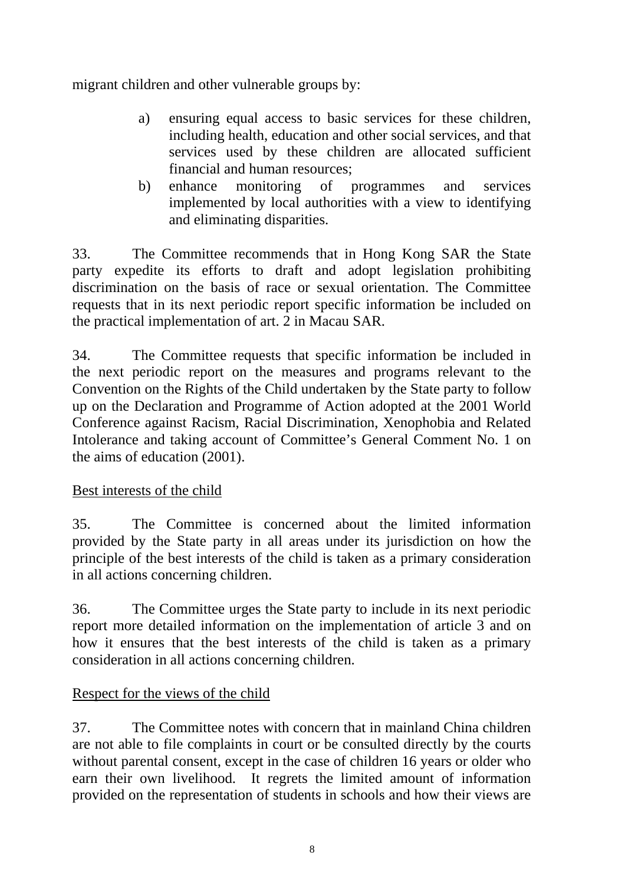migrant children and other vulnerable groups by:

- a) ensuring equal access to basic services for these children, including health, education and other social services, and that services used by these children are allocated sufficient financial and human resources;
- b) enhance monitoring of programmes and services implemented by local authorities with a view to identifying and eliminating disparities.

33. The Committee recommends that in Hong Kong SAR the State party expedite its efforts to draft and adopt legislation prohibiting discrimination on the basis of race or sexual orientation. The Committee requests that in its next periodic report specific information be included on the practical implementation of art. 2 in Macau SAR.

34. The Committee requests that specific information be included in the next periodic report on the measures and programs relevant to the Convention on the Rights of the Child undertaken by the State party to follow up on the Declaration and Programme of Action adopted at the 2001 World Conference against Racism, Racial Discrimination, Xenophobia and Related Intolerance and taking account of Committee's General Comment No. 1 on the aims of education (2001).

## Best interests of the child

35.The Committee is concerned about the limited information provided by the State party in all areas under its jurisdiction on how the principle of the best interests of the child is taken as a primary consideration in all actions concerning children.

36. The Committee urges the State party to include in its next periodic report more detailed information on the implementation of article 3 and on how it ensures that the best interests of the child is taken as a primary consideration in all actions concerning children.

## Respect for the views of the child

37. The Committee notes with concern that in mainland China children are not able to file complaints in court or be consulted directly by the courts without parental consent, except in the case of children 16 years or older who earn their own livelihood. It regrets the limited amount of information provided on the representation of students in schools and how their views are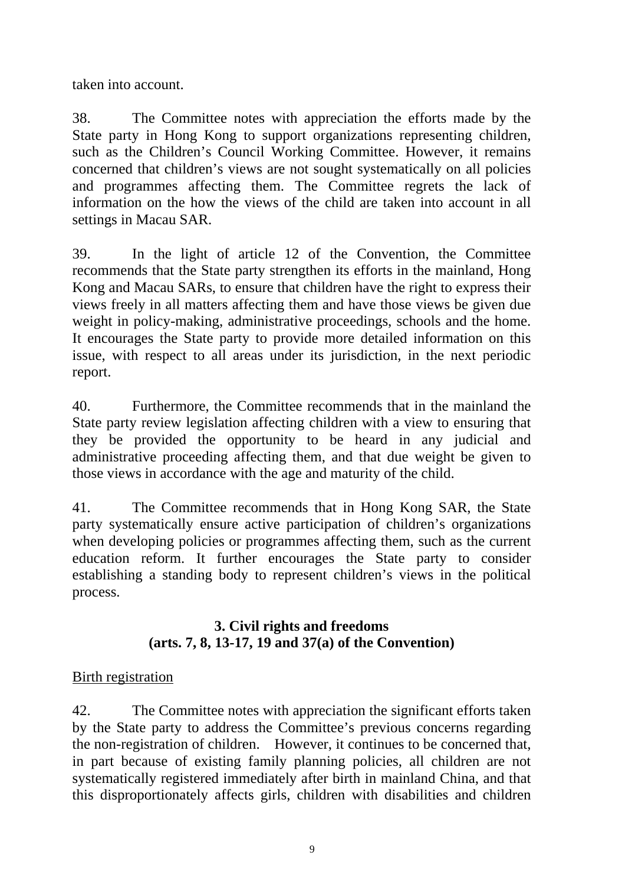taken into account.

38. The Committee notes with appreciation the efforts made by the State party in Hong Kong to support organizations representing children, such as the Children's Council Working Committee. However, it remains concerned that children's views are not sought systematically on all policies and programmes affecting them. The Committee regrets the lack of information on the how the views of the child are taken into account in all settings in Macau SAR.

39. In the light of article 12 of the Convention, the Committee recommends that the State party strengthen its efforts in the mainland, Hong Kong and Macau SARs, to ensure that children have the right to express their views freely in all matters affecting them and have those views be given due weight in policy-making, administrative proceedings, schools and the home. It encourages the State party to provide more detailed information on this issue, with respect to all areas under its jurisdiction, in the next periodic report.

40. Furthermore, the Committee recommends that in the mainland the State party review legislation affecting children with a view to ensuring that they be provided the opportunity to be heard in any judicial and administrative proceeding affecting them, and that due weight be given to those views in accordance with the age and maturity of the child.

41. The Committee recommends that in Hong Kong SAR, the State party systematically ensure active participation of children's organizations when developing policies or programmes affecting them, such as the current education reform. It further encourages the State party to consider establishing a standing body to represent children's views in the political process.

## **3. Civil rights and freedoms (arts. 7, 8, 13-17, 19 and 37(a) of the Convention)**

## Birth registration

42. The Committee notes with appreciation the significant efforts taken by the State party to address the Committee's previous concerns regarding the non-registration of children. However, it continues to be concerned that, in part because of existing family planning policies, all children are not systematically registered immediately after birth in mainland China, and that this disproportionately affects girls, children with disabilities and children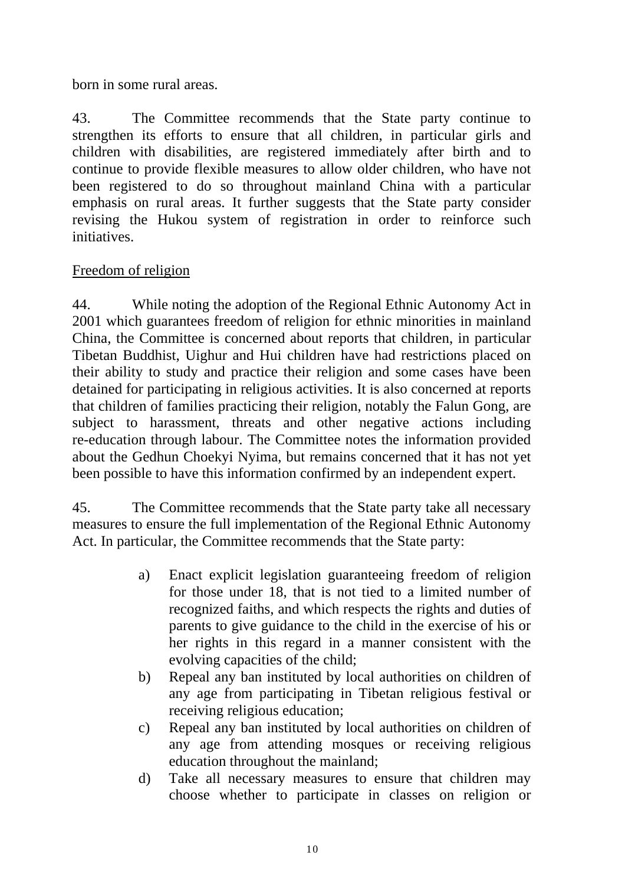born in some rural areas.

43. The Committee recommends that the State party continue to strengthen its efforts to ensure that all children, in particular girls and children with disabilities, are registered immediately after birth and to continue to provide flexible measures to allow older children, who have not been registered to do so throughout mainland China with a particular emphasis on rural areas. It further suggests that the State party consider revising the Hukou system of registration in order to reinforce such initiatives.

## Freedom of religion

44. While noting the adoption of the Regional Ethnic Autonomy Act in 2001 which guarantees freedom of religion for ethnic minorities in mainland China, the Committee is concerned about reports that children, in particular Tibetan Buddhist, Uighur and Hui children have had restrictions placed on their ability to study and practice their religion and some cases have been detained for participating in religious activities. It is also concerned at reports that children of families practicing their religion, notably the Falun Gong, are subject to harassment, threats and other negative actions including re-education through labour. The Committee notes the information provided about the Gedhun Choekyi Nyima, but remains concerned that it has not yet been possible to have this information confirmed by an independent expert.

45. The Committee recommends that the State party take all necessary measures to ensure the full implementation of the Regional Ethnic Autonomy Act. In particular, the Committee recommends that the State party:

- a) Enact explicit legislation guaranteeing freedom of religion for those under 18, that is not tied to a limited number of recognized faiths, and which respects the rights and duties of parents to give guidance to the child in the exercise of his or her rights in this regard in a manner consistent with the evolving capacities of the child;
- b) Repeal any ban instituted by local authorities on children of any age from participating in Tibetan religious festival or receiving religious education;
- c) Repeal any ban instituted by local authorities on children of any age from attending mosques or receiving religious education throughout the mainland;
- d) Take all necessary measures to ensure that children may choose whether to participate in classes on religion or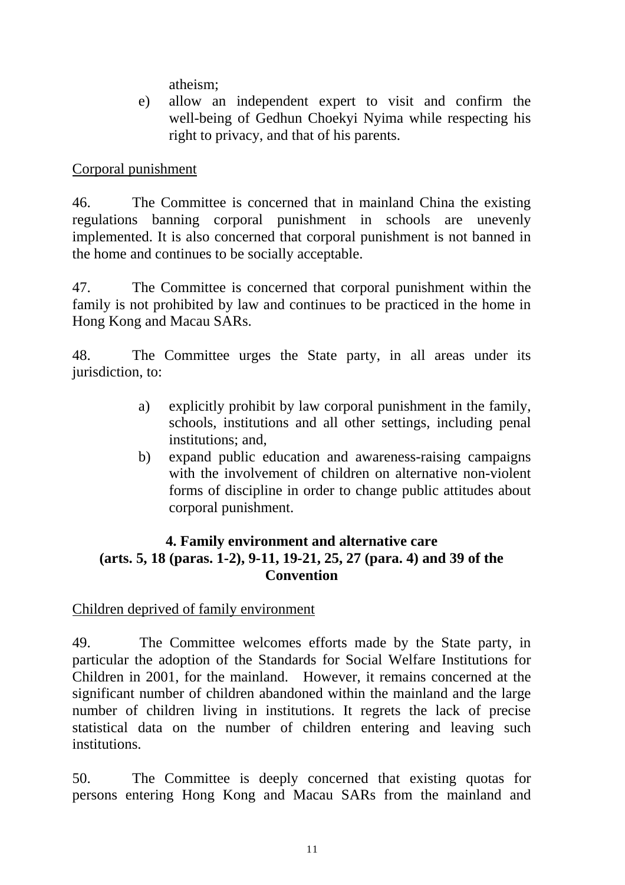atheism;

e) allow an independent expert to visit and confirm the well-being of Gedhun Choekyi Nyima while respecting his right to privacy, and that of his parents.

## Corporal punishment

46. The Committee is concerned that in mainland China the existing regulations banning corporal punishment in schools are unevenly implemented. It is also concerned that corporal punishment is not banned in the home and continues to be socially acceptable.

47. The Committee is concerned that corporal punishment within the family is not prohibited by law and continues to be practiced in the home in Hong Kong and Macau SARs.

48. The Committee urges the State party, in all areas under its jurisdiction, to:

- a) explicitly prohibit by law corporal punishment in the family, schools, institutions and all other settings, including penal institutions; and,
- b) expand public education and awareness-raising campaigns with the involvement of children on alternative non-violent forms of discipline in order to change public attitudes about corporal punishment.

## **4. Family environment and alternative care (arts. 5, 18 (paras. 1-2), 9-11, 19-21, 25, 27 (para. 4) and 39 of the Convention**

## Children deprived of family environment

49. The Committee welcomes efforts made by the State party, in particular the adoption of the Standards for Social Welfare Institutions for Children in 2001, for the mainland. However, it remains concerned at the significant number of children abandoned within the mainland and the large number of children living in institutions. It regrets the lack of precise statistical data on the number of children entering and leaving such institutions.

50. The Committee is deeply concerned that existing quotas for persons entering Hong Kong and Macau SARs from the mainland and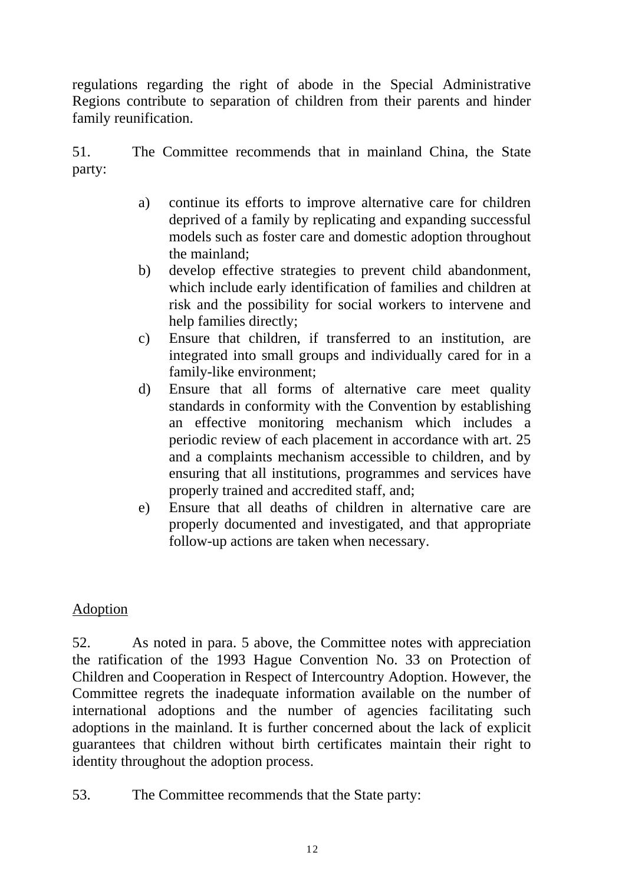regulations regarding the right of abode in the Special Administrative Regions contribute to separation of children from their parents and hinder family reunification.

51. The Committee recommends that in mainland China, the State party:

- a) continue its efforts to improve alternative care for children deprived of a family by replicating and expanding successful models such as foster care and domestic adoption throughout the mainland;
- b) develop effective strategies to prevent child abandonment, which include early identification of families and children at risk and the possibility for social workers to intervene and help families directly;
- c) Ensure that children, if transferred to an institution, are integrated into small groups and individually cared for in a family-like environment;
- d) Ensure that all forms of alternative care meet quality standards in conformity with the Convention by establishing an effective monitoring mechanism which includes a periodic review of each placement in accordance with art. 25 and a complaints mechanism accessible to children, and by ensuring that all institutions, programmes and services have properly trained and accredited staff, and;
- e) Ensure that all deaths of children in alternative care are properly documented and investigated, and that appropriate follow-up actions are taken when necessary.

## Adoption

52. As noted in para. 5 above, the Committee notes with appreciation the ratification of the 1993 Hague Convention No. 33 on Protection of Children and Cooperation in Respect of Intercountry Adoption. However, the Committee regrets the inadequate information available on the number of international adoptions and the number of agencies facilitating such adoptions in the mainland. It is further concerned about the lack of explicit guarantees that children without birth certificates maintain their right to identity throughout the adoption process.

53. The Committee recommends that the State party: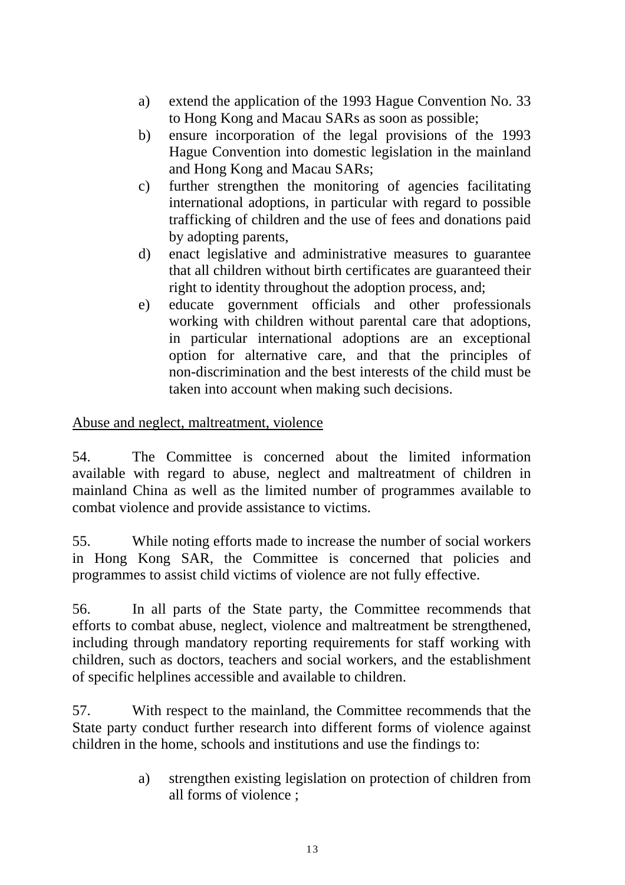- a) extend the application of the 1993 Hague Convention No. 33 to Hong Kong and Macau SARs as soon as possible;
- b) ensure incorporation of the legal provisions of the 1993 Hague Convention into domestic legislation in the mainland and Hong Kong and Macau SARs;
- c) further strengthen the monitoring of agencies facilitating international adoptions, in particular with regard to possible trafficking of children and the use of fees and donations paid by adopting parents,
- d) enact legislative and administrative measures to guarantee that all children without birth certificates are guaranteed their right to identity throughout the adoption process, and;
- e) educate government officials and other professionals working with children without parental care that adoptions, in particular international adoptions are an exceptional option for alternative care, and that the principles of non-discrimination and the best interests of the child must be taken into account when making such decisions.

## Abuse and neglect, maltreatment, violence

54. The Committee is concerned about the limited information available with regard to abuse, neglect and maltreatment of children in mainland China as well as the limited number of programmes available to combat violence and provide assistance to victims.

55. While noting efforts made to increase the number of social workers in Hong Kong SAR, the Committee is concerned that policies and programmes to assist child victims of violence are not fully effective.

56. In all parts of the State party, the Committee recommends that efforts to combat abuse, neglect, violence and maltreatment be strengthened, including through mandatory reporting requirements for staff working with children, such as doctors, teachers and social workers, and the establishment of specific helplines accessible and available to children.

57. With respect to the mainland, the Committee recommends that the State party conduct further research into different forms of violence against children in the home, schools and institutions and use the findings to:

> a) strengthen existing legislation on protection of children from all forms of violence ;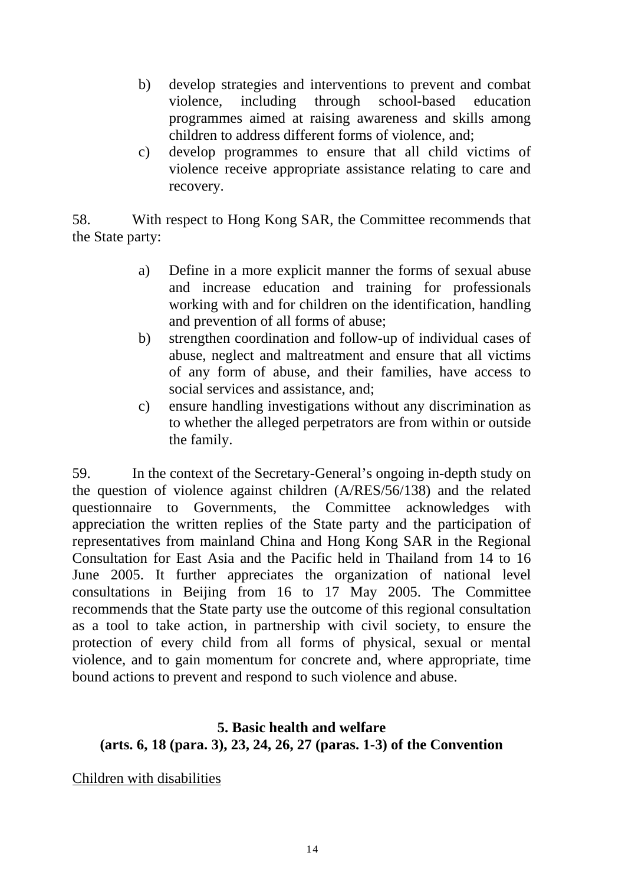- b) develop strategies and interventions to prevent and combat violence, including through school-based education programmes aimed at raising awareness and skills among children to address different forms of violence, and;
- c) develop programmes to ensure that all child victims of violence receive appropriate assistance relating to care and recovery.

58. With respect to Hong Kong SAR, the Committee recommends that the State party:

- a) Define in a more explicit manner the forms of sexual abuse and increase education and training for professionals working with and for children on the identification, handling and prevention of all forms of abuse;
- b) strengthen coordination and follow-up of individual cases of abuse, neglect and maltreatment and ensure that all victims of any form of abuse, and their families, have access to social services and assistance, and;
- c) ensure handling investigations without any discrimination as to whether the alleged perpetrators are from within or outside the family.

59. In the context of the Secretary-General's ongoing in-depth study on the question of violence against children (A/RES/56/138) and the related questionnaire to Governments, the Committee acknowledges with appreciation the written replies of the State party and the participation of representatives from mainland China and Hong Kong SAR in the Regional Consultation for East Asia and the Pacific held in Thailand from 14 to 16 June 2005. It further appreciates the organization of national level consultations in Beijing from 16 to 17 May 2005. The Committee recommends that the State party use the outcome of this regional consultation as a tool to take action, in partnership with civil society, to ensure the protection of every child from all forms of physical, sexual or mental violence, and to gain momentum for concrete and, where appropriate, time bound actions to prevent and respond to such violence and abuse.

## **5. Basic health and welfare (arts. 6, 18 (para. 3), 23, 24, 26, 27 (paras. 1-3) of the Convention**

Children with disabilities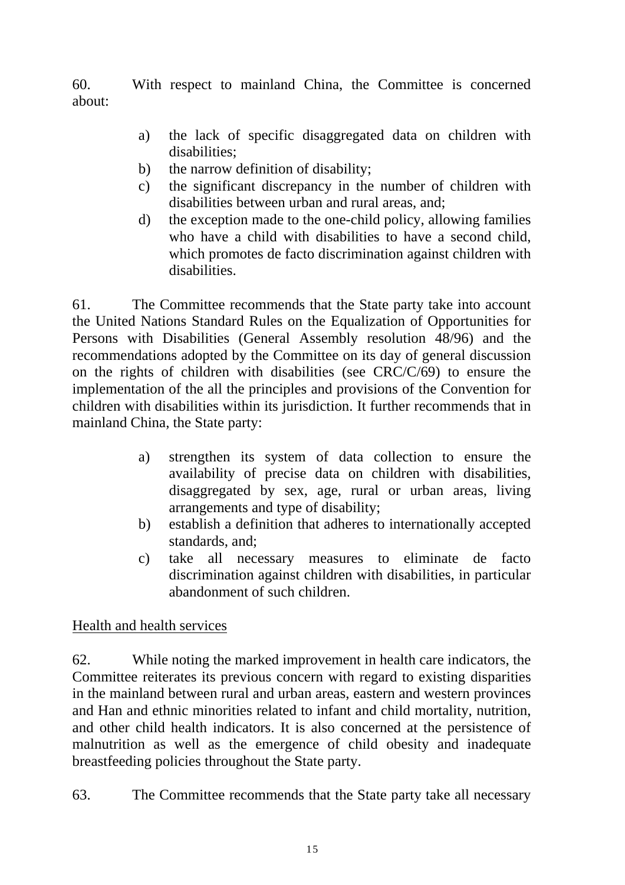60. With respect to mainland China, the Committee is concerned about:

- a) the lack of specific disaggregated data on children with disabilities;
- b) the narrow definition of disability;
- c) the significant discrepancy in the number of children with disabilities between urban and rural areas, and;
- d) the exception made to the one-child policy, allowing families who have a child with disabilities to have a second child. which promotes de facto discrimination against children with disabilities.

61. The Committee recommends that the State party take into account the United Nations Standard Rules on the Equalization of Opportunities for Persons with Disabilities (General Assembly resolution 48/96) and the recommendations adopted by the Committee on its day of general discussion on the rights of children with disabilities (see CRC/C/69) to ensure the implementation of the all the principles and provisions of the Convention for children with disabilities within its jurisdiction. It further recommends that in mainland China, the State party:

- a) strengthen its system of data collection to ensure the availability of precise data on children with disabilities, disaggregated by sex, age, rural or urban areas, living arrangements and type of disability;
- b) establish a definition that adheres to internationally accepted standards, and;
- c) take all necessary measures to eliminate de facto discrimination against children with disabilities, in particular abandonment of such children.

## Health and health services

62. While noting the marked improvement in health care indicators, the Committee reiterates its previous concern with regard to existing disparities in the mainland between rural and urban areas, eastern and western provinces and Han and ethnic minorities related to infant and child mortality, nutrition, and other child health indicators. It is also concerned at the persistence of malnutrition as well as the emergence of child obesity and inadequate breastfeeding policies throughout the State party.

63. The Committee recommends that the State party take all necessary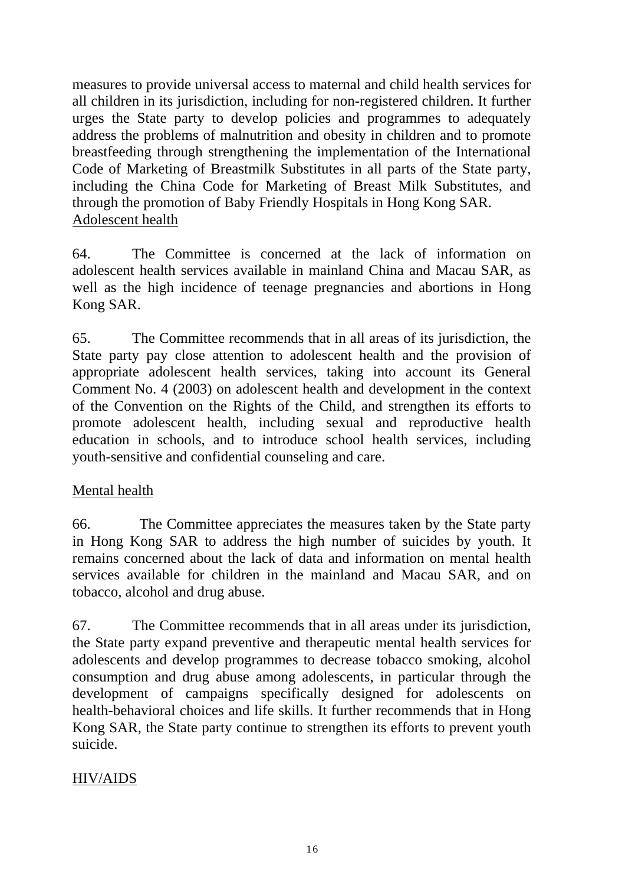measures to provide universal access to maternal and child health services for all children in its jurisdiction, including for non-registered children. It further urges the State party to develop policies and programmes to adequately address the problems of malnutrition and obesity in children and to promote breastfeeding through strengthening the implementation of the International Code of Marketing of Breastmilk Substitutes in all parts of the State party, including the China Code for Marketing of Breast Milk Substitutes, and through the promotion of Baby Friendly Hospitals in Hong Kong SAR. Adolescent health

64. The Committee is concerned at the lack of information on adolescent health services available in mainland China and Macau SAR, as well as the high incidence of teenage pregnancies and abortions in Hong Kong SAR.

65. The Committee recommends that in all areas of its jurisdiction, the State party pay close attention to adolescent health and the provision of appropriate adolescent health services, taking into account its General Comment No. 4 (2003) on adolescent health and development in the context of the Convention on the Rights of the Child, and strengthen its efforts to promote adolescent health, including sexual and reproductive health education in schools, and to introduce school health services, including youth-sensitive and confidential counseling and care.

### Mental health

66. The Committee appreciates the measures taken by the State party in Hong Kong SAR to address the high number of suicides by youth. It remains concerned about the lack of data and information on mental health services available for children in the mainland and Macau SAR, and on tobacco, alcohol and drug abuse.

67. The Committee recommends that in all areas under its jurisdiction, the State party expand preventive and therapeutic mental health services for adolescents and develop programmes to decrease tobacco smoking, alcohol consumption and drug abuse among adolescents, in particular through the development of campaigns specifically designed for adolescents on health-behavioral choices and life skills. It further recommends that in Hong Kong SAR, the State party continue to strengthen its efforts to prevent youth suicide.

## HIV/AIDS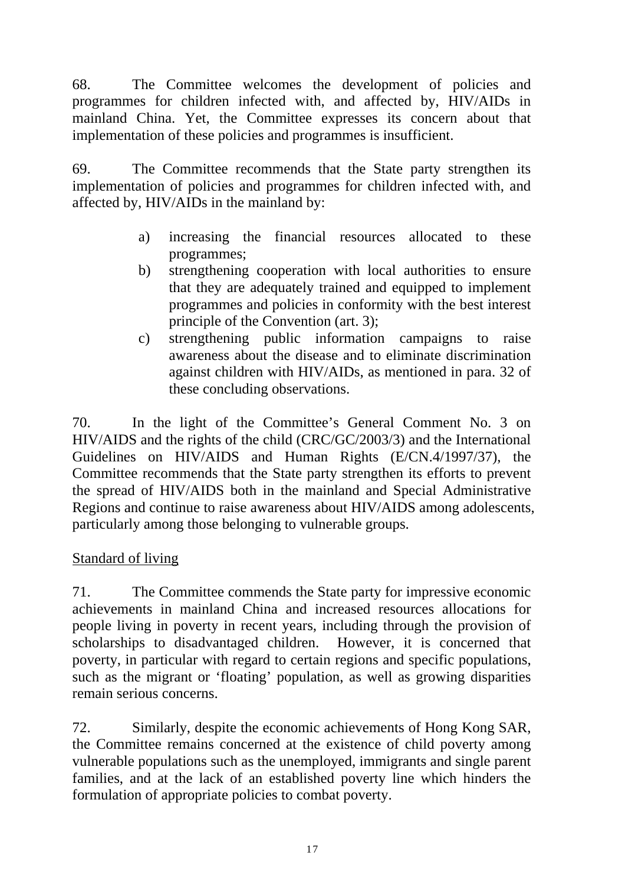68. The Committee welcomes the development of policies and programmes for children infected with, and affected by, HIV/AIDs in mainland China. Yet, the Committee expresses its concern about that implementation of these policies and programmes is insufficient.

69. The Committee recommends that the State party strengthen its implementation of policies and programmes for children infected with, and affected by, HIV/AIDs in the mainland by:

- a) increasing the financial resources allocated to these programmes;
- b) strengthening cooperation with local authorities to ensure that they are adequately trained and equipped to implement programmes and policies in conformity with the best interest principle of the Convention (art. 3);
- c) strengthening public information campaigns to raise awareness about the disease and to eliminate discrimination against children with HIV/AIDs, as mentioned in para. 32 of these concluding observations.

70. In the light of the Committee's General Comment No. 3 on HIV/AIDS and the rights of the child (CRC/GC/2003/3) and the International Guidelines on HIV/AIDS and Human Rights (E/CN.4/1997/37), the Committee recommends that the State party strengthen its efforts to prevent the spread of HIV/AIDS both in the mainland and Special Administrative Regions and continue to raise awareness about HIV/AIDS among adolescents, particularly among those belonging to vulnerable groups.

## Standard of living

71. The Committee commends the State party for impressive economic achievements in mainland China and increased resources allocations for people living in poverty in recent years, including through the provision of scholarships to disadvantaged children. However, it is concerned that poverty, in particular with regard to certain regions and specific populations, such as the migrant or 'floating' population, as well as growing disparities remain serious concerns.

72. Similarly, despite the economic achievements of Hong Kong SAR, the Committee remains concerned at the existence of child poverty among vulnerable populations such as the unemployed, immigrants and single parent families, and at the lack of an established poverty line which hinders the formulation of appropriate policies to combat poverty.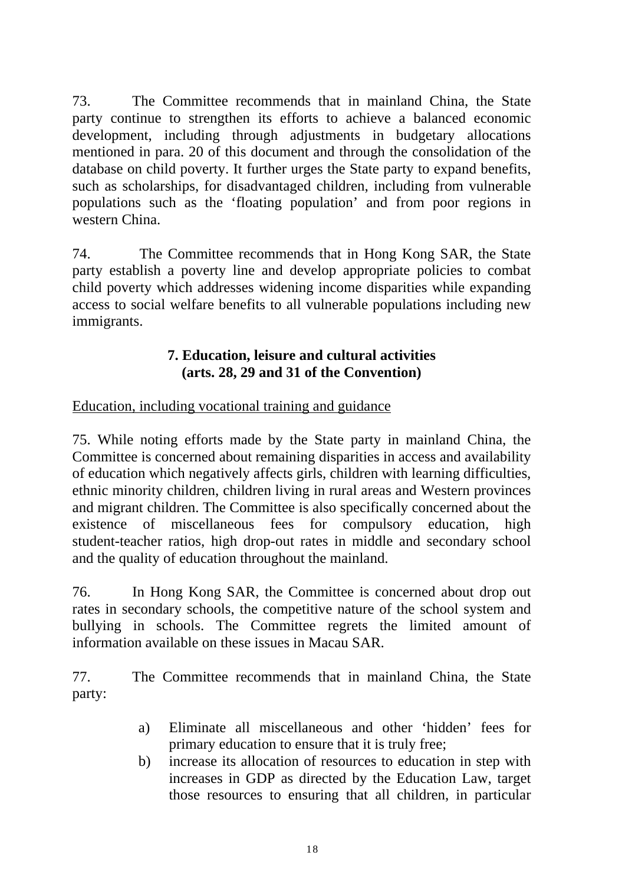73. The Committee recommends that in mainland China, the State party continue to strengthen its efforts to achieve a balanced economic development, including through adjustments in budgetary allocations mentioned in para. 20 of this document and through the consolidation of the database on child poverty. It further urges the State party to expand benefits, such as scholarships, for disadvantaged children, including from vulnerable populations such as the 'floating population' and from poor regions in western China.

74. The Committee recommends that in Hong Kong SAR, the State party establish a poverty line and develop appropriate policies to combat child poverty which addresses widening income disparities while expanding access to social welfare benefits to all vulnerable populations including new immigrants.

### **7. Education, leisure and cultural activities (arts. 28, 29 and 31 of the Convention)**

### Education, including vocational training and guidance

75. While noting efforts made by the State party in mainland China, the Committee is concerned about remaining disparities in access and availability of education which negatively affects girls, children with learning difficulties, ethnic minority children, children living in rural areas and Western provinces and migrant children. The Committee is also specifically concerned about the existence of miscellaneous fees for compulsory education, high student-teacher ratios, high drop-out rates in middle and secondary school and the quality of education throughout the mainland.

76. In Hong Kong SAR, the Committee is concerned about drop out rates in secondary schools, the competitive nature of the school system and bullying in schools. The Committee regrets the limited amount of information available on these issues in Macau SAR.

77. The Committee recommends that in mainland China, the State party:

- a) Eliminate all miscellaneous and other 'hidden' fees for primary education to ensure that it is truly free;
- b) increase its allocation of resources to education in step with increases in GDP as directed by the Education Law, target those resources to ensuring that all children, in particular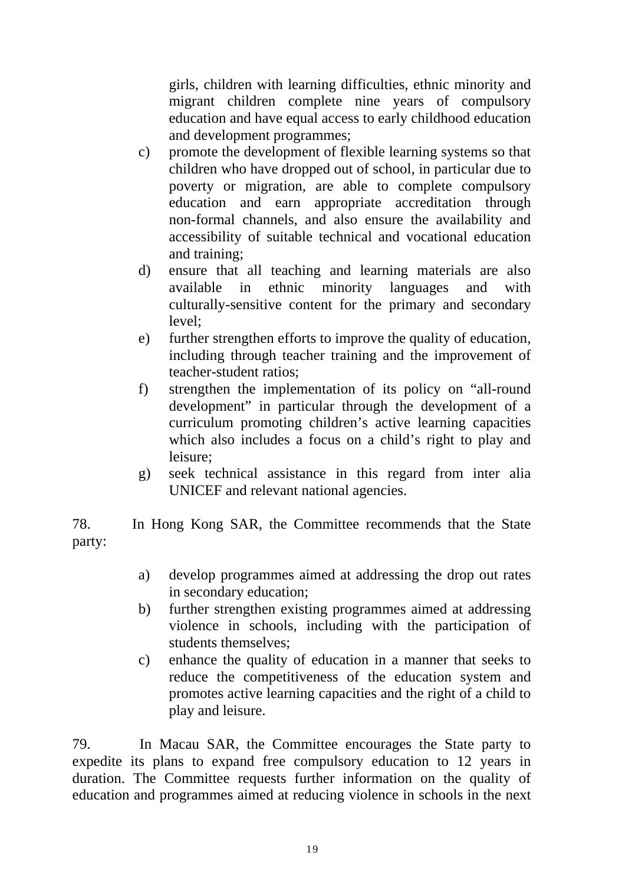girls, children with learning difficulties, ethnic minority and migrant children complete nine years of compulsory education and have equal access to early childhood education and development programmes;

- c) promote the development of flexible learning systems so that children who have dropped out of school, in particular due to poverty or migration, are able to complete compulsory education and earn appropriate accreditation through non-formal channels, and also ensure the availability and accessibility of suitable technical and vocational education and training;
- d) ensure that all teaching and learning materials are also available in ethnic minority languages and with culturally-sensitive content for the primary and secondary level;
- e) further strengthen efforts to improve the quality of education, including through teacher training and the improvement of teacher-student ratios;
- f) strengthen the implementation of its policy on "all-round development" in particular through the development of a curriculum promoting children's active learning capacities which also includes a focus on a child's right to play and leisure;
- g) seek technical assistance in this regard from inter alia UNICEF and relevant national agencies.

78. In Hong Kong SAR, the Committee recommends that the State party:

- a) develop programmes aimed at addressing the drop out rates in secondary education;
- b) further strengthen existing programmes aimed at addressing violence in schools, including with the participation of students themselves;
- c) enhance the quality of education in a manner that seeks to reduce the competitiveness of the education system and promotes active learning capacities and the right of a child to play and leisure.

79. In Macau SAR, the Committee encourages the State party to expedite its plans to expand free compulsory education to 12 years in duration. The Committee requests further information on the quality of education and programmes aimed at reducing violence in schools in the next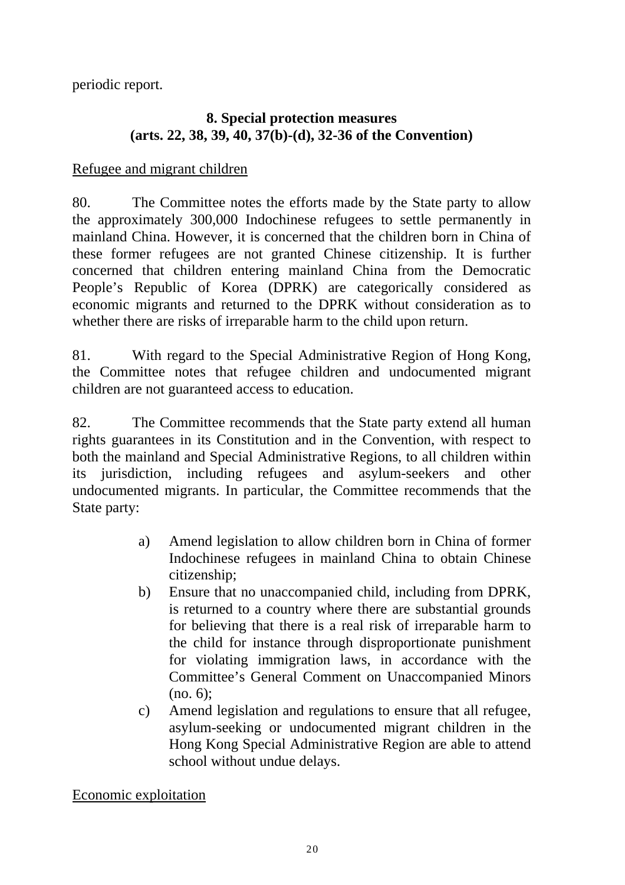periodic report.

## **8. Special protection measures (arts. 22, 38, 39, 40, 37(b)-(d), 32-36 of the Convention)**

### Refugee and migrant children

80. The Committee notes the efforts made by the State party to allow the approximately 300,000 Indochinese refugees to settle permanently in mainland China. However, it is concerned that the children born in China of these former refugees are not granted Chinese citizenship. It is further concerned that children entering mainland China from the Democratic People's Republic of Korea (DPRK) are categorically considered as economic migrants and returned to the DPRK without consideration as to whether there are risks of irreparable harm to the child upon return.

81. With regard to the Special Administrative Region of Hong Kong, the Committee notes that refugee children and undocumented migrant children are not guaranteed access to education.

82. The Committee recommends that the State party extend all human rights guarantees in its Constitution and in the Convention, with respect to both the mainland and Special Administrative Regions, to all children within its jurisdiction, including refugees and asylum-seekers and other undocumented migrants. In particular, the Committee recommends that the State party:

- a) Amend legislation to allow children born in China of former Indochinese refugees in mainland China to obtain Chinese citizenship;
- b) Ensure that no unaccompanied child, including from DPRK, is returned to a country where there are substantial grounds for believing that there is a real risk of irreparable harm to the child for instance through disproportionate punishment for violating immigration laws, in accordance with the Committee's General Comment on Unaccompanied Minors (no. 6);
- c) Amend legislation and regulations to ensure that all refugee, asylum-seeking or undocumented migrant children in the Hong Kong Special Administrative Region are able to attend school without undue delays.

Economic exploitation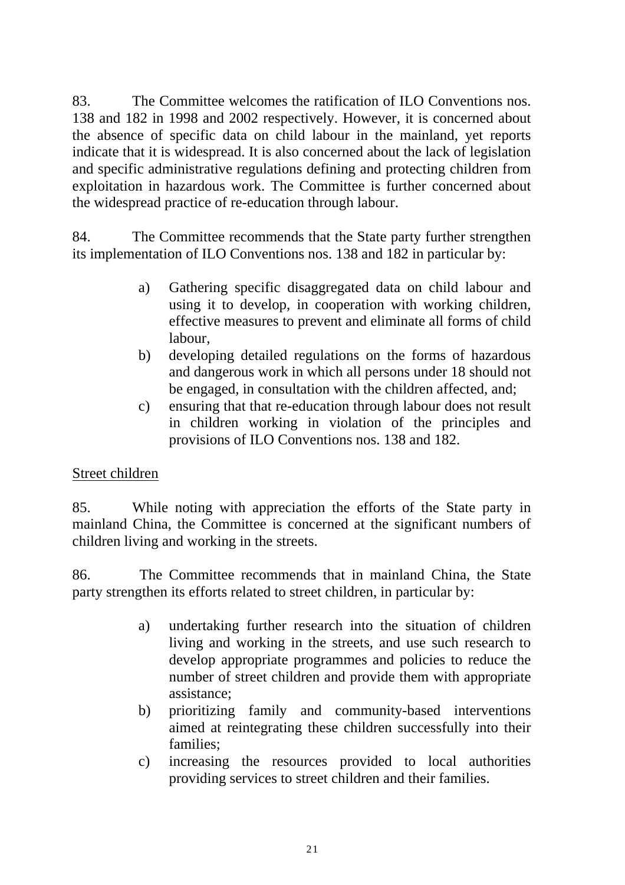83. The Committee welcomes the ratification of ILO Conventions nos. 138 and 182 in 1998 and 2002 respectively. However, it is concerned about the absence of specific data on child labour in the mainland, yet reports indicate that it is widespread. It is also concerned about the lack of legislation and specific administrative regulations defining and protecting children from exploitation in hazardous work. The Committee is further concerned about the widespread practice of re-education through labour.

84. The Committee recommends that the State party further strengthen its implementation of ILO Conventions nos. 138 and 182 in particular by:

- a) Gathering specific disaggregated data on child labour and using it to develop, in cooperation with working children, effective measures to prevent and eliminate all forms of child labour,
- b) developing detailed regulations on the forms of hazardous and dangerous work in which all persons under 18 should not be engaged, in consultation with the children affected, and;
- c) ensuring that that re-education through labour does not result in children working in violation of the principles and provisions of ILO Conventions nos. 138 and 182.

## Street children

85. While noting with appreciation the efforts of the State party in mainland China, the Committee is concerned at the significant numbers of children living and working in the streets.

86. The Committee recommends that in mainland China, the State party strengthen its efforts related to street children, in particular by:

- a) undertaking further research into the situation of children living and working in the streets, and use such research to develop appropriate programmes and policies to reduce the number of street children and provide them with appropriate assistance;
- b) prioritizing family and community-based interventions aimed at reintegrating these children successfully into their families;
- c) increasing the resources provided to local authorities providing services to street children and their families.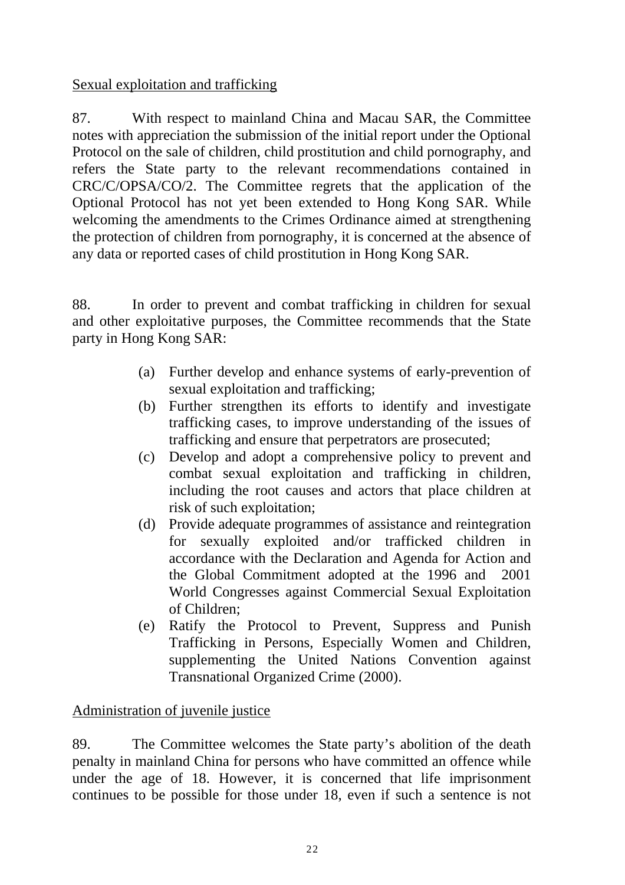Sexual exploitation and trafficking

87. With respect to mainland China and Macau SAR, the Committee notes with appreciation the submission of the initial report under the Optional Protocol on the sale of children, child prostitution and child pornography, and refers the State party to the relevant recommendations contained in CRC/C/OPSA/CO/2. The Committee regrets that the application of the Optional Protocol has not yet been extended to Hong Kong SAR. While welcoming the amendments to the Crimes Ordinance aimed at strengthening the protection of children from pornography, it is concerned at the absence of any data or reported cases of child prostitution in Hong Kong SAR.

88. In order to prevent and combat trafficking in children for sexual and other exploitative purposes, the Committee recommends that the State party in Hong Kong SAR:

- (a) Further develop and enhance systems of early-prevention of sexual exploitation and trafficking;
- (b) Further strengthen its efforts to identify and investigate trafficking cases, to improve understanding of the issues of trafficking and ensure that perpetrators are prosecuted;
- (c) Develop and adopt a comprehensive policy to prevent and combat sexual exploitation and trafficking in children, including the root causes and actors that place children at risk of such exploitation;
- (d) Provide adequate programmes of assistance and reintegration for sexually exploited and/or trafficked children in accordance with the Declaration and Agenda for Action and the Global Commitment adopted at the 1996 and 2001 World Congresses against Commercial Sexual Exploitation of Children;
- (e) Ratify the Protocol to Prevent, Suppress and Punish Trafficking in Persons, Especially Women and Children, supplementing the United Nations Convention against Transnational Organized Crime (2000).

## Administration of juvenile justice

89. The Committee welcomes the State party's abolition of the death penalty in mainland China for persons who have committed an offence while under the age of 18. However, it is concerned that life imprisonment continues to be possible for those under 18, even if such a sentence is not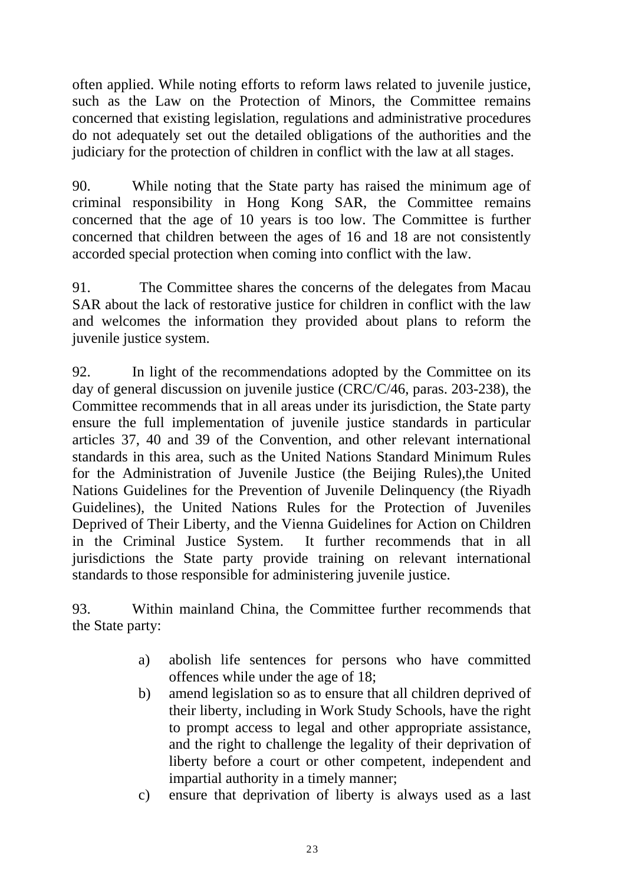often applied. While noting efforts to reform laws related to juvenile justice, such as the Law on the Protection of Minors, the Committee remains concerned that existing legislation, regulations and administrative procedures do not adequately set out the detailed obligations of the authorities and the judiciary for the protection of children in conflict with the law at all stages.

90. While noting that the State party has raised the minimum age of criminal responsibility in Hong Kong SAR, the Committee remains concerned that the age of 10 years is too low. The Committee is further concerned that children between the ages of 16 and 18 are not consistently accorded special protection when coming into conflict with the law.

91. The Committee shares the concerns of the delegates from Macau SAR about the lack of restorative justice for children in conflict with the law and welcomes the information they provided about plans to reform the juvenile justice system.

92. In light of the recommendations adopted by the Committee on its day of general discussion on juvenile justice (CRC/C/46, paras. 203-238), the Committee recommends that in all areas under its jurisdiction, the State party ensure the full implementation of juvenile justice standards in particular articles 37, 40 and 39 of the Convention, and other relevant international standards in this area, such as the United Nations Standard Minimum Rules for the Administration of Juvenile Justice (the Beijing Rules),the United Nations Guidelines for the Prevention of Juvenile Delinquency (the Riyadh Guidelines), the United Nations Rules for the Protection of Juveniles Deprived of Their Liberty, and the Vienna Guidelines for Action on Children in the Criminal Justice System. It further recommends that in all jurisdictions the State party provide training on relevant international standards to those responsible for administering juvenile justice.

93. Within mainland China, the Committee further recommends that the State party:

- a) abolish life sentences for persons who have committed offences while under the age of 18;
- b) amend legislation so as to ensure that all children deprived of their liberty, including in Work Study Schools, have the right to prompt access to legal and other appropriate assistance, and the right to challenge the legality of their deprivation of liberty before a court or other competent, independent and impartial authority in a timely manner;
- c) ensure that deprivation of liberty is always used as a last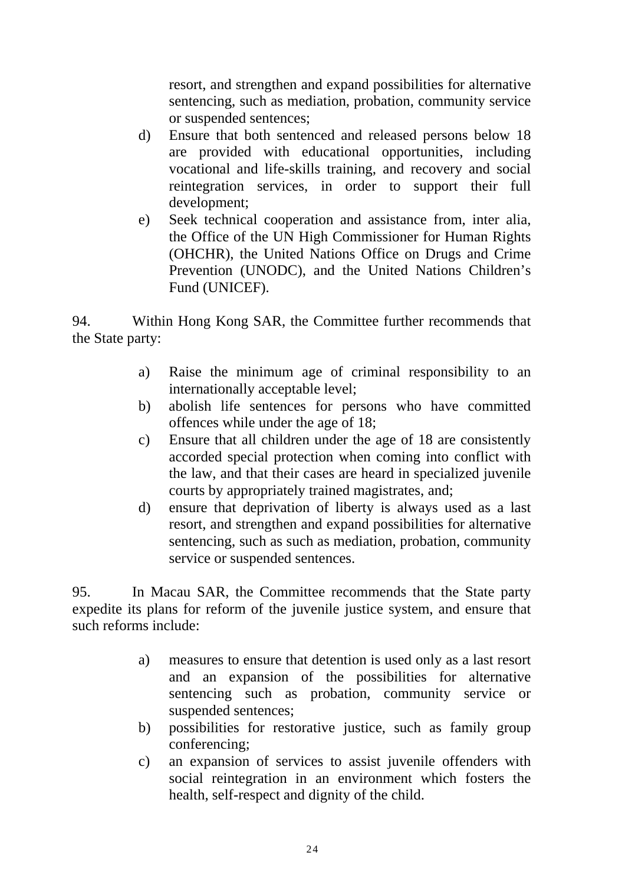resort, and strengthen and expand possibilities for alternative sentencing, such as mediation, probation, community service or suspended sentences;

- d) Ensure that both sentenced and released persons below 18 are provided with educational opportunities, including vocational and life-skills training, and recovery and social reintegration services, in order to support their full development;
- e) Seek technical cooperation and assistance from, inter alia, the Office of the UN High Commissioner for Human Rights (OHCHR), the United Nations Office on Drugs and Crime Prevention (UNODC), and the United Nations Children's Fund (UNICEF).

94. Within Hong Kong SAR, the Committee further recommends that the State party:

- a) Raise the minimum age of criminal responsibility to an internationally acceptable level;
- b) abolish life sentences for persons who have committed offences while under the age of 18;
- c) Ensure that all children under the age of 18 are consistently accorded special protection when coming into conflict with the law, and that their cases are heard in specialized juvenile courts by appropriately trained magistrates, and;
- d) ensure that deprivation of liberty is always used as a last resort, and strengthen and expand possibilities for alternative sentencing, such as such as mediation, probation, community service or suspended sentences.

95. In Macau SAR, the Committee recommends that the State party expedite its plans for reform of the juvenile justice system, and ensure that such reforms include:

- a) measures to ensure that detention is used only as a last resort and an expansion of the possibilities for alternative sentencing such as probation, community service or suspended sentences;
- b) possibilities for restorative justice, such as family group conferencing;
- c) an expansion of services to assist juvenile offenders with social reintegration in an environment which fosters the health, self-respect and dignity of the child.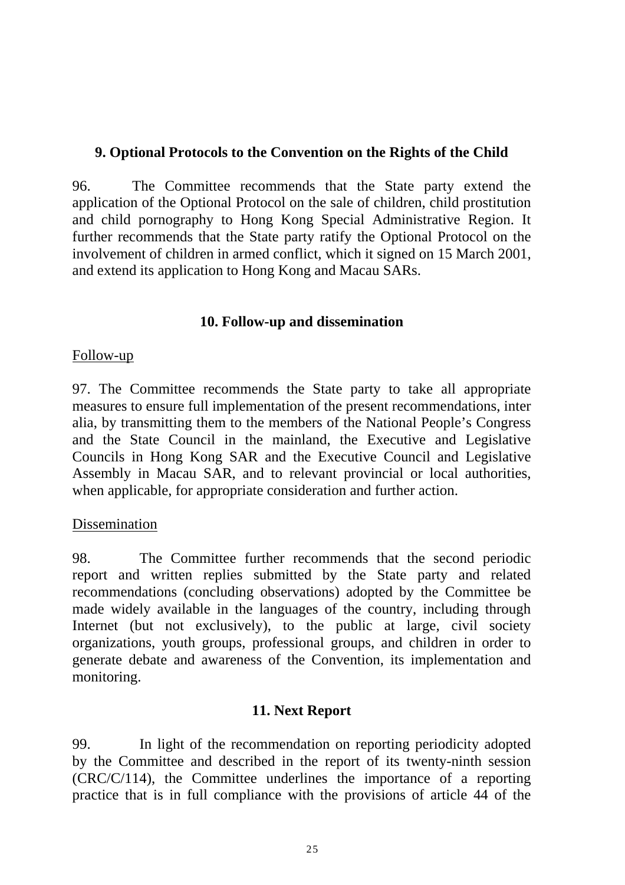## **9. Optional Protocols to the Convention on the Rights of the Child**

96. The Committee recommends that the State party extend the application of the Optional Protocol on the sale of children, child prostitution and child pornography to Hong Kong Special Administrative Region. It further recommends that the State party ratify the Optional Protocol on the involvement of children in armed conflict, which it signed on 15 March 2001, and extend its application to Hong Kong and Macau SARs.

#### **10. Follow-up and dissemination**

#### Follow-up

97. The Committee recommends the State party to take all appropriate measures to ensure full implementation of the present recommendations, inter alia, by transmitting them to the members of the National People's Congress and the State Council in the mainland, the Executive and Legislative Councils in Hong Kong SAR and the Executive Council and Legislative Assembly in Macau SAR, and to relevant provincial or local authorities, when applicable, for appropriate consideration and further action.

### Dissemination

98. The Committee further recommends that the second periodic report and written replies submitted by the State party and related recommendations (concluding observations) adopted by the Committee be made widely available in the languages of the country, including through Internet (but not exclusively), to the public at large, civil society organizations, youth groups, professional groups, and children in order to generate debate and awareness of the Convention, its implementation and monitoring.

### **11. Next Report**

99. In light of the recommendation on reporting periodicity adopted by the Committee and described in the report of its twenty-ninth session (CRC/C/114), the Committee underlines the importance of a reporting practice that is in full compliance with the provisions of article 44 of the